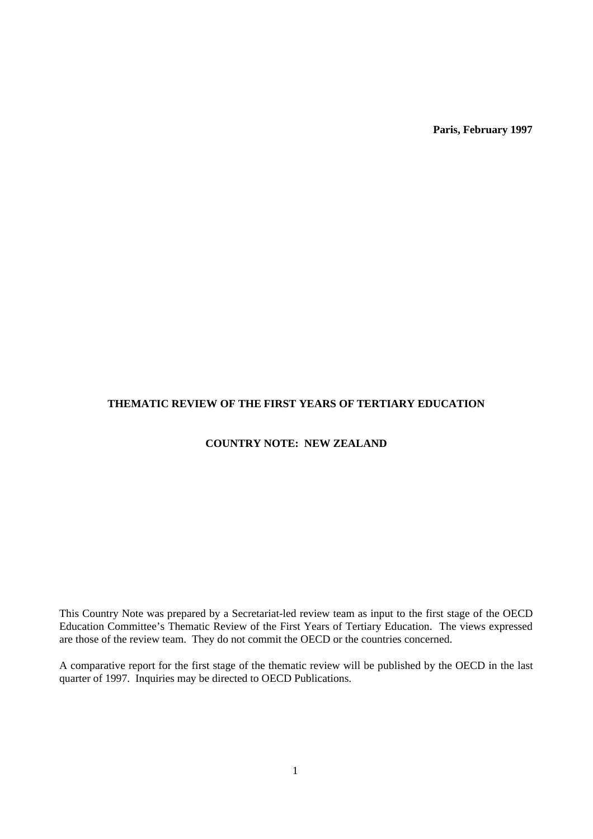**Paris, February 1997**

## **THEMATIC REVIEW OF THE FIRST YEARS OF TERTIARY EDUCATION**

## **COUNTRY NOTE: NEW ZEALAND**

This Country Note was prepared by a Secretariat-led review team as input to the first stage of the OECD Education Committee's Thematic Review of the First Years of Tertiary Education. The views expressed are those of the review team. They do not commit the OECD or the countries concerned.

A comparative report for the first stage of the thematic review will be published by the OECD in the last quarter of 1997. Inquiries may be directed to OECD Publications.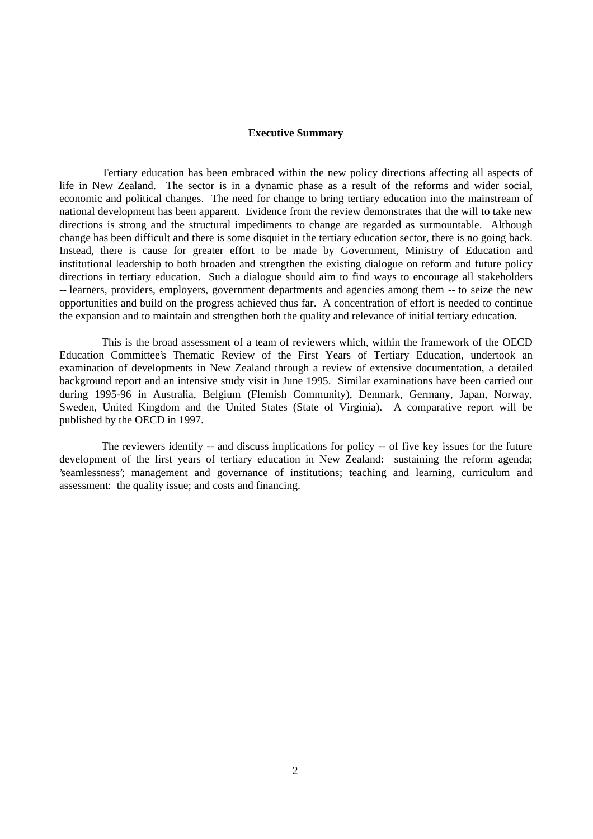### **Executive Summary**

Tertiary education has been embraced within the new policy directions affecting all aspects of life in New Zealand. The sector is in a dynamic phase as a result of the reforms and wider social, economic and political changes. The need for change to bring tertiary education into the mainstream of national development has been apparent. Evidence from the review demonstrates that the will to take new directions is strong and the structural impediments to change are regarded as surmountable. Although change has been difficult and there is some disquiet in the tertiary education sector, there is no going back. Instead, there is cause for greater effort to be made by Government, Ministry of Education and institutional leadership to both broaden and strengthen the existing dialogue on reform and future policy directions in tertiary education. Such a dialogue should aim to find ways to encourage all stakeholders -- learners, providers, employers, government departments and agencies among them -- to seize the new opportunities and build on the progress achieved thus far. A concentration of effort is needed to continue the expansion and to maintain and strengthen both the quality and relevance of initial tertiary education.

This is the broad assessment of a team of reviewers which, within the framework of the OECD Education Committee's Thematic Review of the First Years of Tertiary Education, undertook an examination of developments in New Zealand through a review of extensive documentation, a detailed background report and an intensive study visit in June 1995. Similar examinations have been carried out during 1995-96 in Australia, Belgium (Flemish Community), Denmark, Germany, Japan, Norway, Sweden, United Kingdom and the United States (State of Virginia). A comparative report will be published by the OECD in 1997.

The reviewers identify -- and discuss implications for policy -- of five key issues for the future development of the first years of tertiary education in New Zealand: sustaining the reform agenda; 'seamlessness'; management and governance of institutions; teaching and learning, curriculum and assessment: the quality issue; and costs and financing.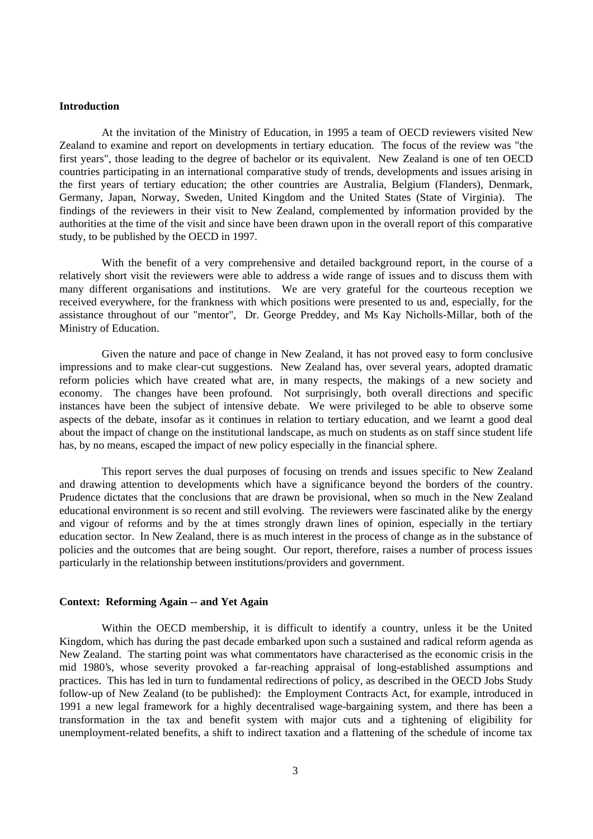#### **Introduction**

At the invitation of the Ministry of Education, in 1995 a team of OECD reviewers visited New Zealand to examine and report on developments in tertiary education. The focus of the review was "the first years", those leading to the degree of bachelor or its equivalent. New Zealand is one of ten OECD countries participating in an international comparative study of trends, developments and issues arising in the first years of tertiary education; the other countries are Australia, Belgium (Flanders), Denmark, Germany, Japan, Norway, Sweden, United Kingdom and the United States (State of Virginia). The findings of the reviewers in their visit to New Zealand, complemented by information provided by the authorities at the time of the visit and since have been drawn upon in the overall report of this comparative study, to be published by the OECD in 1997.

With the benefit of a very comprehensive and detailed background report, in the course of a relatively short visit the reviewers were able to address a wide range of issues and to discuss them with many different organisations and institutions. We are very grateful for the courteous reception we received everywhere, for the frankness with which positions were presented to us and, especially, for the assistance throughout of our "mentor", Dr. George Preddey, and Ms Kay Nicholls-Millar, both of the Ministry of Education.

Given the nature and pace of change in New Zealand, it has not proved easy to form conclusive impressions and to make clear-cut suggestions. New Zealand has, over several years, adopted dramatic reform policies which have created what are, in many respects, the makings of a new society and economy. The changes have been profound. Not surprisingly, both overall directions and specific instances have been the subject of intensive debate. We were privileged to be able to observe some aspects of the debate, insofar as it continues in relation to tertiary education, and we learnt a good deal about the impact of change on the institutional landscape, as much on students as on staff since student life has, by no means, escaped the impact of new policy especially in the financial sphere.

This report serves the dual purposes of focusing on trends and issues specific to New Zealand and drawing attention to developments which have a significance beyond the borders of the country. Prudence dictates that the conclusions that are drawn be provisional, when so much in the New Zealand educational environment is so recent and still evolving. The reviewers were fascinated alike by the energy and vigour of reforms and by the at times strongly drawn lines of opinion, especially in the tertiary education sector. In New Zealand, there is as much interest in the process of change as in the substance of policies and the outcomes that are being sought. Our report, therefore, raises a number of process issues particularly in the relationship between institutions/providers and government.

#### **Context: Reforming Again -- and Yet Again**

Within the OECD membership, it is difficult to identify a country, unless it be the United Kingdom, which has during the past decade embarked upon such a sustained and radical reform agenda as New Zealand. The starting point was what commentators have characterised as the economic crisis in the mid 1980's, whose severity provoked a far-reaching appraisal of long-established assumptions and practices. This has led in turn to fundamental redirections of policy, as described in the OECD Jobs Study follow-up of New Zealand (to be published): the Employment Contracts Act, for example, introduced in 1991 a new legal framework for a highly decentralised wage-bargaining system, and there has been a transformation in the tax and benefit system with major cuts and a tightening of eligibility for unemployment-related benefits, a shift to indirect taxation and a flattening of the schedule of income tax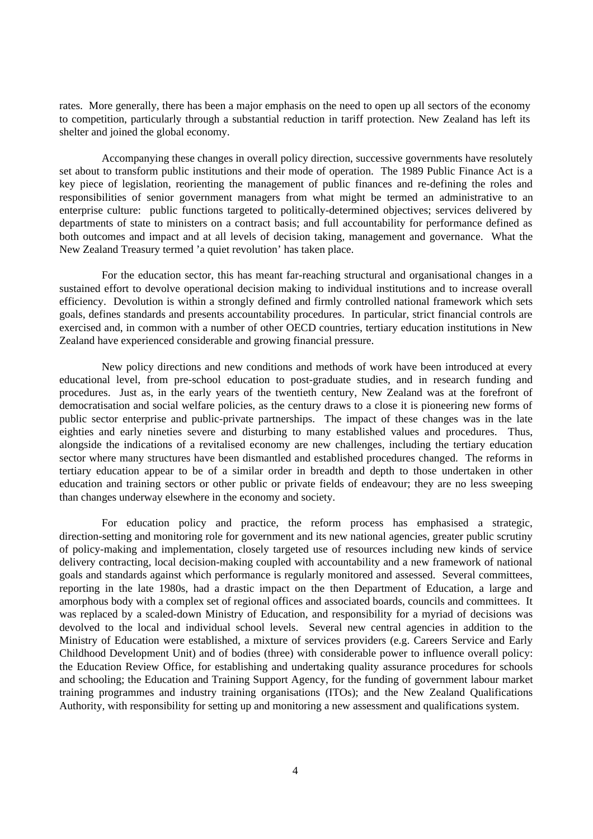rates. More generally, there has been a major emphasis on the need to open up all sectors of the economy to competition, particularly through a substantial reduction in tariff protection. New Zealand has left its shelter and joined the global economy.

Accompanying these changes in overall policy direction, successive governments have resolutely set about to transform public institutions and their mode of operation. The 1989 Public Finance Act is a key piece of legislation, reorienting the management of public finances and re-defining the roles and responsibilities of senior government managers from what might be termed an administrative to an enterprise culture: public functions targeted to politically-determined objectives; services delivered by departments of state to ministers on a contract basis; and full accountability for performance defined as both outcomes and impact and at all levels of decision taking, management and governance. What the New Zealand Treasury termed 'a quiet revolution' has taken place.

For the education sector, this has meant far-reaching structural and organisational changes in a sustained effort to devolve operational decision making to individual institutions and to increase overall efficiency. Devolution is within a strongly defined and firmly controlled national framework which sets goals, defines standards and presents accountability procedures. In particular, strict financial controls are exercised and, in common with a number of other OECD countries, tertiary education institutions in New Zealand have experienced considerable and growing financial pressure.

New policy directions and new conditions and methods of work have been introduced at every educational level, from pre-school education to post-graduate studies, and in research funding and procedures. Just as, in the early years of the twentieth century, New Zealand was at the forefront of democratisation and social welfare policies, as the century draws to a close it is pioneering new forms of public sector enterprise and public-private partnerships. The impact of these changes was in the late eighties and early nineties severe and disturbing to many established values and procedures. Thus, alongside the indications of a revitalised economy are new challenges, including the tertiary education sector where many structures have been dismantled and established procedures changed. The reforms in tertiary education appear to be of a similar order in breadth and depth to those undertaken in other education and training sectors or other public or private fields of endeavour; they are no less sweeping than changes underway elsewhere in the economy and society.

For education policy and practice, the reform process has emphasised a strategic, direction-setting and monitoring role for government and its new national agencies, greater public scrutiny of policy-making and implementation, closely targeted use of resources including new kinds of service delivery contracting, local decision-making coupled with accountability and a new framework of national goals and standards against which performance is regularly monitored and assessed. Several committees, reporting in the late 1980s, had a drastic impact on the then Department of Education, a large and amorphous body with a complex set of regional offices and associated boards, councils and committees. It was replaced by a scaled-down Ministry of Education, and responsibility for a myriad of decisions was devolved to the local and individual school levels. Several new central agencies in addition to the Ministry of Education were established, a mixture of services providers (e.g. Careers Service and Early Childhood Development Unit) and of bodies (three) with considerable power to influence overall policy: the Education Review Office, for establishing and undertaking quality assurance procedures for schools and schooling; the Education and Training Support Agency, for the funding of government labour market training programmes and industry training organisations (ITOs); and the New Zealand Qualifications Authority, with responsibility for setting up and monitoring a new assessment and qualifications system.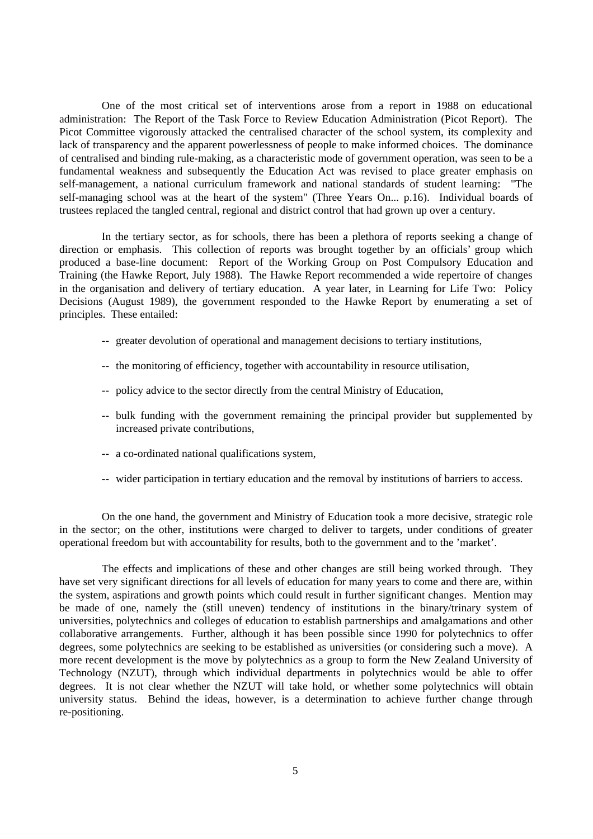One of the most critical set of interventions arose from a report in 1988 on educational administration: The Report of the Task Force to Review Education Administration (Picot Report). The Picot Committee vigorously attacked the centralised character of the school system, its complexity and lack of transparency and the apparent powerlessness of people to make informed choices. The dominance of centralised and binding rule-making, as a characteristic mode of government operation, was seen to be a fundamental weakness and subsequently the Education Act was revised to place greater emphasis on self-management, a national curriculum framework and national standards of student learning: "The self-managing school was at the heart of the system" (Three Years On... p.16). Individual boards of trustees replaced the tangled central, regional and district control that had grown up over a century.

In the tertiary sector, as for schools, there has been a plethora of reports seeking a change of direction or emphasis. This collection of reports was brought together by an officials' group which produced a base-line document: Report of the Working Group on Post Compulsory Education and Training (the Hawke Report, July 1988). The Hawke Report recommended a wide repertoire of changes in the organisation and delivery of tertiary education. A year later, in Learning for Life Two: Policy Decisions (August 1989), the government responded to the Hawke Report by enumerating a set of principles. These entailed:

- -- greater devolution of operational and management decisions to tertiary institutions,
- -- the monitoring of efficiency, together with accountability in resource utilisation,
- -- policy advice to the sector directly from the central Ministry of Education,
- -- bulk funding with the government remaining the principal provider but supplemented by increased private contributions,
- -- a co-ordinated national qualifications system,
- -- wider participation in tertiary education and the removal by institutions of barriers to access.

On the one hand, the government and Ministry of Education took a more decisive, strategic role in the sector; on the other, institutions were charged to deliver to targets, under conditions of greater operational freedom but with accountability for results, both to the government and to the 'market'.

The effects and implications of these and other changes are still being worked through. They have set very significant directions for all levels of education for many years to come and there are, within the system, aspirations and growth points which could result in further significant changes. Mention may be made of one, namely the (still uneven) tendency of institutions in the binary/trinary system of universities, polytechnics and colleges of education to establish partnerships and amalgamations and other collaborative arrangements. Further, although it has been possible since 1990 for polytechnics to offer degrees, some polytechnics are seeking to be established as universities (or considering such a move). A more recent development is the move by polytechnics as a group to form the New Zealand University of Technology (NZUT), through which individual departments in polytechnics would be able to offer degrees. It is not clear whether the NZUT will take hold, or whether some polytechnics will obtain university status. Behind the ideas, however, is a determination to achieve further change through re-positioning.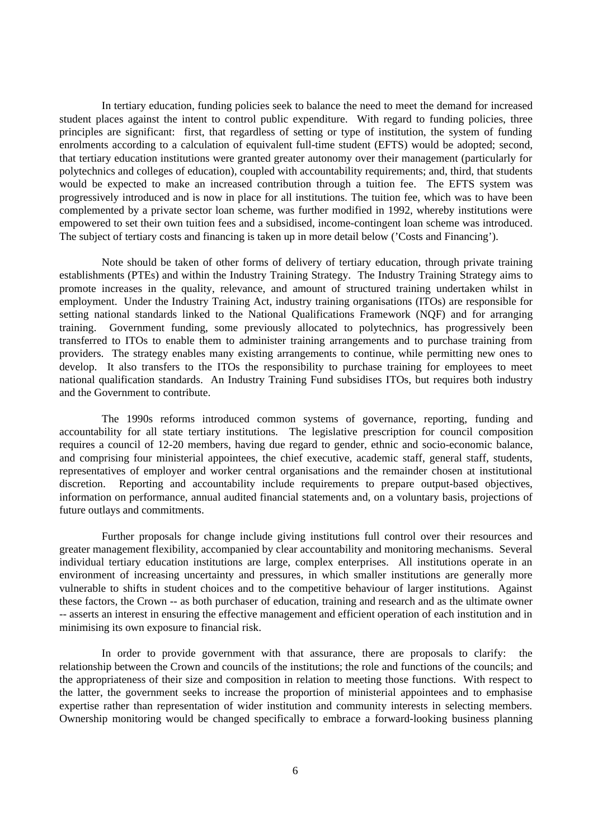In tertiary education, funding policies seek to balance the need to meet the demand for increased student places against the intent to control public expenditure. With regard to funding policies, three principles are significant: first, that regardless of setting or type of institution, the system of funding enrolments according to a calculation of equivalent full-time student (EFTS) would be adopted; second, that tertiary education institutions were granted greater autonomy over their management (particularly for polytechnics and colleges of education), coupled with accountability requirements; and, third, that students would be expected to make an increased contribution through a tuition fee. The EFTS system was progressively introduced and is now in place for all institutions. The tuition fee, which was to have been complemented by a private sector loan scheme, was further modified in 1992, whereby institutions were empowered to set their own tuition fees and a subsidised, income-contingent loan scheme was introduced. The subject of tertiary costs and financing is taken up in more detail below ('Costs and Financing').

Note should be taken of other forms of delivery of tertiary education, through private training establishments (PTEs) and within the Industry Training Strategy. The Industry Training Strategy aims to promote increases in the quality, relevance, and amount of structured training undertaken whilst in employment. Under the Industry Training Act, industry training organisations (ITOs) are responsible for setting national standards linked to the National Qualifications Framework (NQF) and for arranging training. Government funding, some previously allocated to polytechnics, has progressively been transferred to ITOs to enable them to administer training arrangements and to purchase training from providers. The strategy enables many existing arrangements to continue, while permitting new ones to develop. It also transfers to the ITOs the responsibility to purchase training for employees to meet national qualification standards. An Industry Training Fund subsidises ITOs, but requires both industry and the Government to contribute.

The 1990s reforms introduced common systems of governance, reporting, funding and accountability for all state tertiary institutions. The legislative prescription for council composition requires a council of 12-20 members, having due regard to gender, ethnic and socio-economic balance, and comprising four ministerial appointees, the chief executive, academic staff, general staff, students, representatives of employer and worker central organisations and the remainder chosen at institutional discretion. Reporting and accountability include requirements to prepare output-based objectives, information on performance, annual audited financial statements and, on a voluntary basis, projections of future outlays and commitments.

Further proposals for change include giving institutions full control over their resources and greater management flexibility, accompanied by clear accountability and monitoring mechanisms. Several individual tertiary education institutions are large, complex enterprises. All institutions operate in an environment of increasing uncertainty and pressures, in which smaller institutions are generally more vulnerable to shifts in student choices and to the competitive behaviour of larger institutions. Against these factors, the Crown -- as both purchaser of education, training and research and as the ultimate owner -- asserts an interest in ensuring the effective management and efficient operation of each institution and in minimising its own exposure to financial risk.

In order to provide government with that assurance, there are proposals to clarify: the relationship between the Crown and councils of the institutions; the role and functions of the councils; and the appropriateness of their size and composition in relation to meeting those functions. With respect to the latter, the government seeks to increase the proportion of ministerial appointees and to emphasise expertise rather than representation of wider institution and community interests in selecting members. Ownership monitoring would be changed specifically to embrace a forward-looking business planning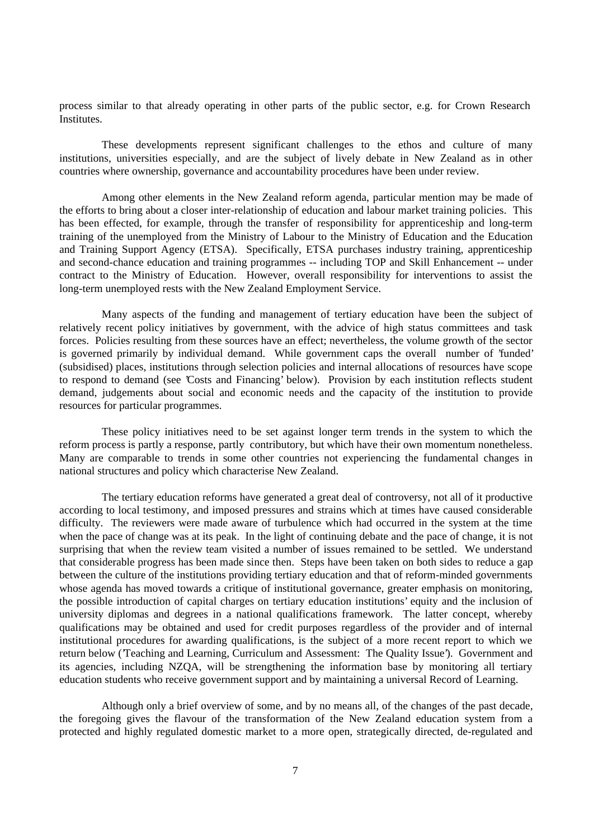process similar to that already operating in other parts of the public sector, e.g. for Crown Research Institutes.

These developments represent significant challenges to the ethos and culture of many institutions, universities especially, and are the subject of lively debate in New Zealand as in other countries where ownership, governance and accountability procedures have been under review.

Among other elements in the New Zealand reform agenda, particular mention may be made of the efforts to bring about a closer inter-relationship of education and labour market training policies. This has been effected, for example, through the transfer of responsibility for apprenticeship and long-term training of the unemployed from the Ministry of Labour to the Ministry of Education and the Education and Training Support Agency (ETSA). Specifically, ETSA purchases industry training, apprenticeship and second-chance education and training programmes -- including TOP and Skill Enhancement -- under contract to the Ministry of Education. However, overall responsibility for interventions to assist the long-term unemployed rests with the New Zealand Employment Service.

Many aspects of the funding and management of tertiary education have been the subject of relatively recent policy initiatives by government, with the advice of high status committees and task forces. Policies resulting from these sources have an effect; nevertheless, the volume growth of the sector is governed primarily by individual demand. While government caps the overall number of 'funded' (subsidised) places, institutions through selection policies and internal allocations of resources have scope to respond to demand (see 'Costs and Financing' below). Provision by each institution reflects student demand, judgements about social and economic needs and the capacity of the institution to provide resources for particular programmes.

These policy initiatives need to be set against longer term trends in the system to which the reform process is partly a response, partly contributory, but which have their own momentum nonetheless. Many are comparable to trends in some other countries not experiencing the fundamental changes in national structures and policy which characterise New Zealand.

The tertiary education reforms have generated a great deal of controversy, not all of it productive according to local testimony, and imposed pressures and strains which at times have caused considerable difficulty. The reviewers were made aware of turbulence which had occurred in the system at the time when the pace of change was at its peak. In the light of continuing debate and the pace of change, it is not surprising that when the review team visited a number of issues remained to be settled. We understand that considerable progress has been made since then. Steps have been taken on both sides to reduce a gap between the culture of the institutions providing tertiary education and that of reform-minded governments whose agenda has moved towards a critique of institutional governance, greater emphasis on monitoring, the possible introduction of capital charges on tertiary education institutions' equity and the inclusion of university diplomas and degrees in a national qualifications framework. The latter concept, whereby qualifications may be obtained and used for credit purposes regardless of the provider and of internal institutional procedures for awarding qualifications, is the subject of a more recent report to which we return below ('Teaching and Learning, Curriculum and Assessment: The Quality Issue'). Government and its agencies, including NZQA, will be strengthening the information base by monitoring all tertiary education students who receive government support and by maintaining a universal Record of Learning.

Although only a brief overview of some, and by no means all, of the changes of the past decade, the foregoing gives the flavour of the transformation of the New Zealand education system from a protected and highly regulated domestic market to a more open, strategically directed, de-regulated and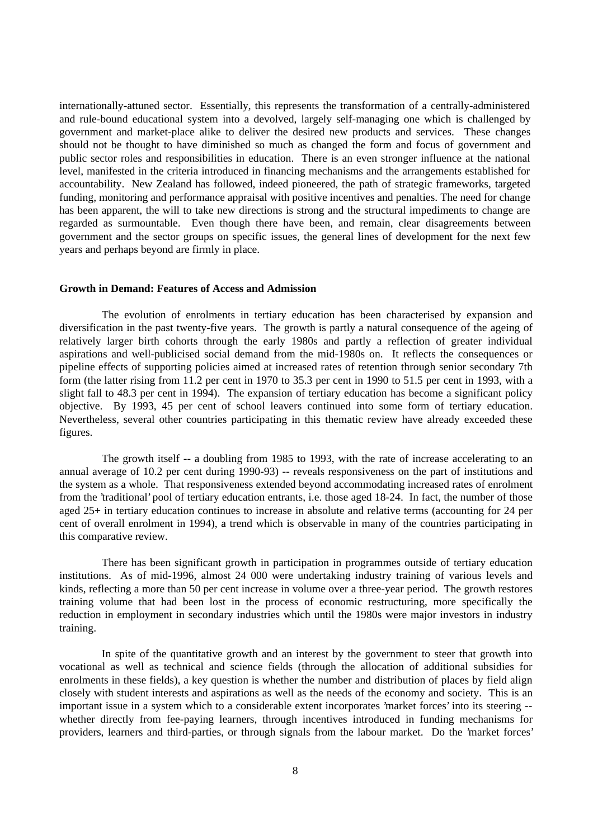internationally-attuned sector. Essentially, this represents the transformation of a centrally-administered and rule-bound educational system into a devolved, largely self-managing one which is challenged by government and market-place alike to deliver the desired new products and services. These changes should not be thought to have diminished so much as changed the form and focus of government and public sector roles and responsibilities in education. There is an even stronger influence at the national level, manifested in the criteria introduced in financing mechanisms and the arrangements established for accountability. New Zealand has followed, indeed pioneered, the path of strategic frameworks, targeted funding, monitoring and performance appraisal with positive incentives and penalties. The need for change has been apparent, the will to take new directions is strong and the structural impediments to change are regarded as surmountable. Even though there have been, and remain, clear disagreements between government and the sector groups on specific issues, the general lines of development for the next few years and perhaps beyond are firmly in place.

### **Growth in Demand: Features of Access and Admission**

The evolution of enrolments in tertiary education has been characterised by expansion and diversification in the past twenty-five years. The growth is partly a natural consequence of the ageing of relatively larger birth cohorts through the early 1980s and partly a reflection of greater individual aspirations and well-publicised social demand from the mid-1980s on. It reflects the consequences or pipeline effects of supporting policies aimed at increased rates of retention through senior secondary 7th form (the latter rising from 11.2 per cent in 1970 to 35.3 per cent in 1990 to 51.5 per cent in 1993, with a slight fall to 48.3 per cent in 1994). The expansion of tertiary education has become a significant policy objective. By 1993, 45 per cent of school leavers continued into some form of tertiary education. Nevertheless, several other countries participating in this thematic review have already exceeded these figures.

The growth itself -- a doubling from 1985 to 1993, with the rate of increase accelerating to an annual average of 10.2 per cent during 1990-93) -- reveals responsiveness on the part of institutions and the system as a whole. That responsiveness extended beyond accommodating increased rates of enrolment from the 'traditional' pool of tertiary education entrants, i.e. those aged 18-24. In fact, the number of those aged 25+ in tertiary education continues to increase in absolute and relative terms (accounting for 24 per cent of overall enrolment in 1994), a trend which is observable in many of the countries participating in this comparative review.

There has been significant growth in participation in programmes outside of tertiary education institutions. As of mid-1996, almost 24 000 were undertaking industry training of various levels and kinds, reflecting a more than 50 per cent increase in volume over a three-year period. The growth restores training volume that had been lost in the process of economic restructuring, more specifically the reduction in employment in secondary industries which until the 1980s were major investors in industry training.

In spite of the quantitative growth and an interest by the government to steer that growth into vocational as well as technical and science fields (through the allocation of additional subsidies for enrolments in these fields), a key question is whether the number and distribution of places by field align closely with student interests and aspirations as well as the needs of the economy and society. This is an important issue in a system which to a considerable extent incorporates 'market forces' into its steering - whether directly from fee-paying learners, through incentives introduced in funding mechanisms for providers, learners and third-parties, or through signals from the labour market. Do the 'market forces'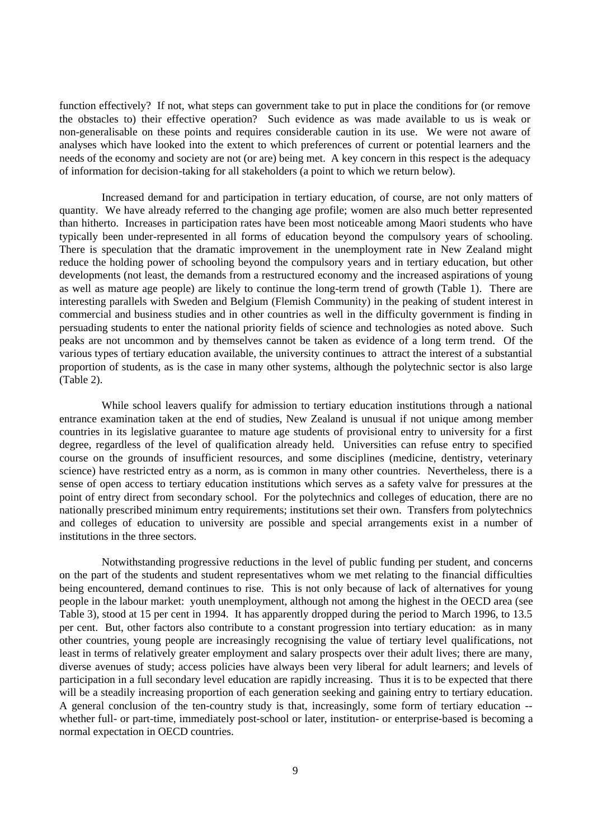function effectively? If not, what steps can government take to put in place the conditions for (or remove the obstacles to) their effective operation? Such evidence as was made available to us is weak or non-generalisable on these points and requires considerable caution in its use. We were not aware of analyses which have looked into the extent to which preferences of current or potential learners and the needs of the economy and society are not (or are) being met. A key concern in this respect is the adequacy of information for decision-taking for all stakeholders (a point to which we return below).

Increased demand for and participation in tertiary education, of course, are not only matters of quantity. We have already referred to the changing age profile; women are also much better represented than hitherto. Increases in participation rates have been most noticeable among Maori students who have typically been under-represented in all forms of education beyond the compulsory years of schooling. There is speculation that the dramatic improvement in the unemployment rate in New Zealand might reduce the holding power of schooling beyond the compulsory years and in tertiary education, but other developments (not least, the demands from a restructured economy and the increased aspirations of young as well as mature age people) are likely to continue the long-term trend of growth (Table 1). There are interesting parallels with Sweden and Belgium (Flemish Community) in the peaking of student interest in commercial and business studies and in other countries as well in the difficulty government is finding in persuading students to enter the national priority fields of science and technologies as noted above. Such peaks are not uncommon and by themselves cannot be taken as evidence of a long term trend. Of the various types of tertiary education available, the university continues to attract the interest of a substantial proportion of students, as is the case in many other systems, although the polytechnic sector is also large (Table 2).

While school leavers qualify for admission to tertiary education institutions through a national entrance examination taken at the end of studies, New Zealand is unusual if not unique among member countries in its legislative guarantee to mature age students of provisional entry to university for a first degree, regardless of the level of qualification already held. Universities can refuse entry to specified course on the grounds of insufficient resources, and some disciplines (medicine, dentistry, veterinary science) have restricted entry as a norm, as is common in many other countries. Nevertheless, there is a sense of open access to tertiary education institutions which serves as a safety valve for pressures at the point of entry direct from secondary school. For the polytechnics and colleges of education, there are no nationally prescribed minimum entry requirements; institutions set their own. Transfers from polytechnics and colleges of education to university are possible and special arrangements exist in a number of institutions in the three sectors.

Notwithstanding progressive reductions in the level of public funding per student, and concerns on the part of the students and student representatives whom we met relating to the financial difficulties being encountered, demand continues to rise. This is not only because of lack of alternatives for young people in the labour market: youth unemployment, although not among the highest in the OECD area (see Table 3), stood at 15 per cent in 1994. It has apparently dropped during the period to March 1996, to 13.5 per cent. But, other factors also contribute to a constant progression into tertiary education: as in many other countries, young people are increasingly recognising the value of tertiary level qualifications, not least in terms of relatively greater employment and salary prospects over their adult lives; there are many, diverse avenues of study; access policies have always been very liberal for adult learners; and levels of participation in a full secondary level education are rapidly increasing. Thus it is to be expected that there will be a steadily increasing proportion of each generation seeking and gaining entry to tertiary education. A general conclusion of the ten-country study is that, increasingly, some form of tertiary education - whether full- or part-time, immediately post-school or later, institution- or enterprise-based is becoming a normal expectation in OECD countries.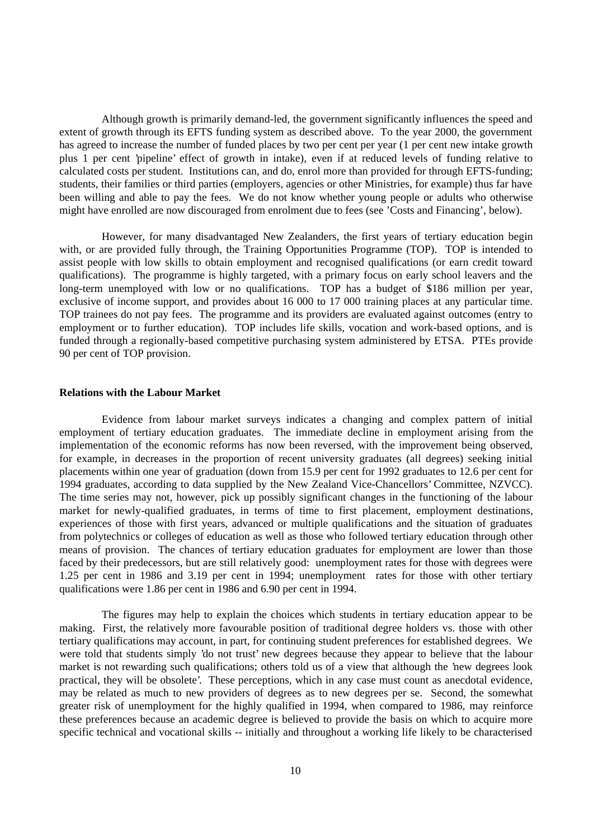Although growth is primarily demand-led, the government significantly influences the speed and extent of growth through its EFTS funding system as described above. To the year 2000, the government has agreed to increase the number of funded places by two per cent per year (1 per cent new intake growth plus 1 per cent 'pipeline' effect of growth in intake), even if at reduced levels of funding relative to calculated costs per student. Institutions can, and do, enrol more than provided for through EFTS-funding; students, their families or third parties (employers, agencies or other Ministries, for example) thus far have been willing and able to pay the fees. We do not know whether young people or adults who otherwise might have enrolled are now discouraged from enrolment due to fees (see 'Costs and Financing', below).

However, for many disadvantaged New Zealanders, the first years of tertiary education begin with, or are provided fully through, the Training Opportunities Programme (TOP). TOP is intended to assist people with low skills to obtain employment and recognised qualifications (or earn credit toward qualifications). The programme is highly targeted, with a primary focus on early school leavers and the long-term unemployed with low or no qualifications. TOP has a budget of \$186 million per year, exclusive of income support, and provides about 16 000 to 17 000 training places at any particular time. TOP trainees do not pay fees. The programme and its providers are evaluated against outcomes (entry to employment or to further education). TOP includes life skills, vocation and work-based options, and is funded through a regionally-based competitive purchasing system administered by ETSA. PTEs provide 90 per cent of TOP provision.

#### **Relations with the Labour Market**

Evidence from labour market surveys indicates a changing and complex pattern of initial employment of tertiary education graduates. The immediate decline in employment arising from the implementation of the economic reforms has now been reversed, with the improvement being observed, for example, in decreases in the proportion of recent university graduates (all degrees) seeking initial placements within one year of graduation (down from 15.9 per cent for 1992 graduates to 12.6 per cent for 1994 graduates, according to data supplied by the New Zealand Vice-Chancellors' Committee, NZVCC). The time series may not, however, pick up possibly significant changes in the functioning of the labour market for newly-qualified graduates, in terms of time to first placement, employment destinations, experiences of those with first years, advanced or multiple qualifications and the situation of graduates from polytechnics or colleges of education as well as those who followed tertiary education through other means of provision. The chances of tertiary education graduates for employment are lower than those faced by their predecessors, but are still relatively good: unemployment rates for those with degrees were 1.25 per cent in 1986 and 3.19 per cent in 1994; unemployment rates for those with other tertiary qualifications were 1.86 per cent in 1986 and 6.90 per cent in 1994.

The figures may help to explain the choices which students in tertiary education appear to be making. First, the relatively more favourable position of traditional degree holders vs. those with other tertiary qualifications may account, in part, for continuing student preferences for established degrees. We were told that students simply 'do not trust' new degrees because they appear to believe that the labour market is not rewarding such qualifications; others told us of a view that although the 'new degrees look practical, they will be obsolete'. These perceptions, which in any case must count as anecdotal evidence, may be related as much to new providers of degrees as to new degrees per se. Second, the somewhat greater risk of unemployment for the highly qualified in 1994, when compared to 1986, may reinforce these preferences because an academic degree is believed to provide the basis on which to acquire more specific technical and vocational skills -- initially and throughout a working life likely to be characterised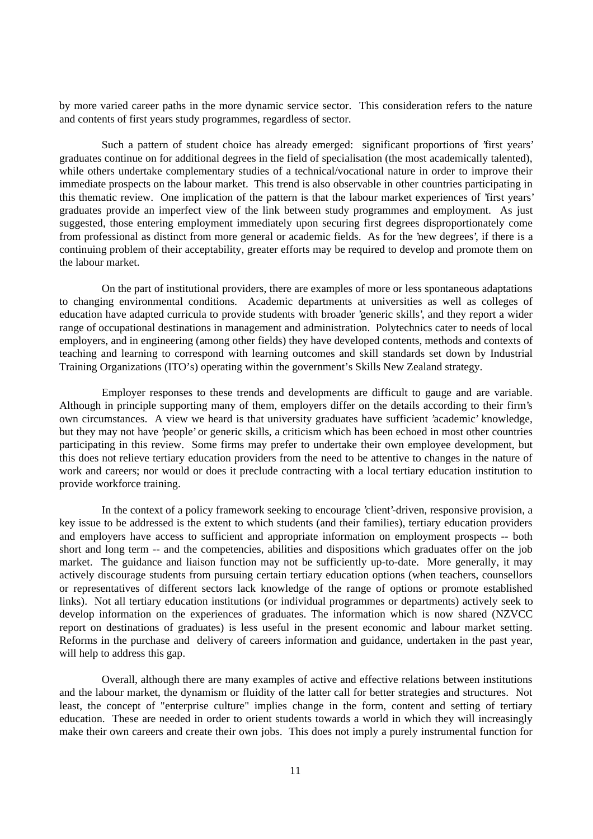by more varied career paths in the more dynamic service sector. This consideration refers to the nature and contents of first years study programmes, regardless of sector.

Such a pattern of student choice has already emerged: significant proportions of 'first years' graduates continue on for additional degrees in the field of specialisation (the most academically talented), while others undertake complementary studies of a technical/vocational nature in order to improve their immediate prospects on the labour market. This trend is also observable in other countries participating in this thematic review. One implication of the pattern is that the labour market experiences of 'first years' graduates provide an imperfect view of the link between study programmes and employment. As just suggested, those entering employment immediately upon securing first degrees disproportionately come from professional as distinct from more general or academic fields. As for the 'new degrees', if there is a continuing problem of their acceptability, greater efforts may be required to develop and promote them on the labour market.

On the part of institutional providers, there are examples of more or less spontaneous adaptations to changing environmental conditions. Academic departments at universities as well as colleges of education have adapted curricula to provide students with broader 'generic skills', and they report a wider range of occupational destinations in management and administration. Polytechnics cater to needs of local employers, and in engineering (among other fields) they have developed contents, methods and contexts of teaching and learning to correspond with learning outcomes and skill standards set down by Industrial Training Organizations (ITO's) operating within the government's Skills New Zealand strategy.

Employer responses to these trends and developments are difficult to gauge and are variable. Although in principle supporting many of them, employers differ on the details according to their firm's own circumstances. A view we heard is that university graduates have sufficient 'academic' knowledge, but they may not have 'people' or generic skills, a criticism which has been echoed in most other countries participating in this review. Some firms may prefer to undertake their own employee development, but this does not relieve tertiary education providers from the need to be attentive to changes in the nature of work and careers; nor would or does it preclude contracting with a local tertiary education institution to provide workforce training.

In the context of a policy framework seeking to encourage 'client'-driven, responsive provision, a key issue to be addressed is the extent to which students (and their families), tertiary education providers and employers have access to sufficient and appropriate information on employment prospects -- both short and long term -- and the competencies, abilities and dispositions which graduates offer on the job market. The guidance and liaison function may not be sufficiently up-to-date. More generally, it may actively discourage students from pursuing certain tertiary education options (when teachers, counsellors or representatives of different sectors lack knowledge of the range of options or promote established links). Not all tertiary education institutions (or individual programmes or departments) actively seek to develop information on the experiences of graduates. The information which is now shared (NZVCC report on destinations of graduates) is less useful in the present economic and labour market setting. Reforms in the purchase and delivery of careers information and guidance, undertaken in the past year, will help to address this gap.

Overall, although there are many examples of active and effective relations between institutions and the labour market, the dynamism or fluidity of the latter call for better strategies and structures. Not least, the concept of "enterprise culture" implies change in the form, content and setting of tertiary education. These are needed in order to orient students towards a world in which they will increasingly make their own careers and create their own jobs. This does not imply a purely instrumental function for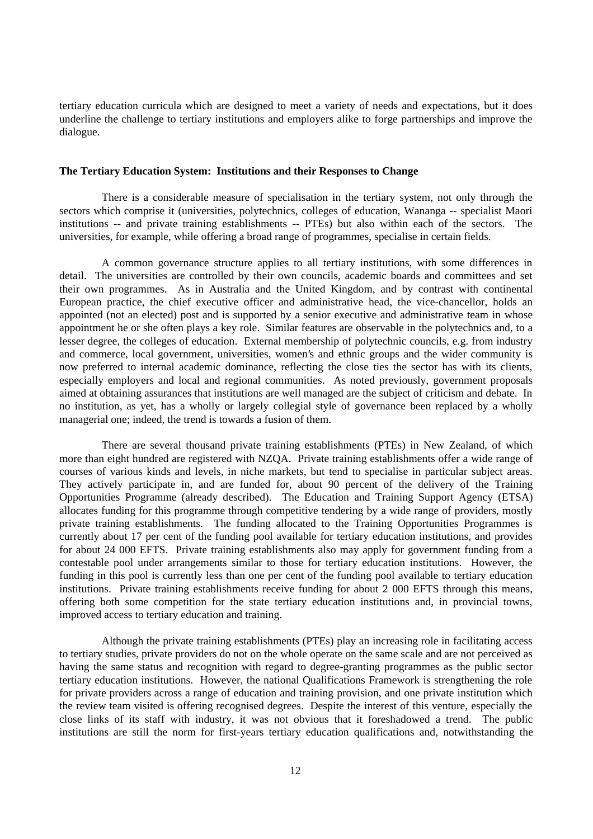tertiary education curricula which are designed to meet a variety of needs and expectations, but it does underline the challenge to tertiary institutions and employers alike to forge partnerships and improve the dialogue.

## **The Tertiary Education System: Institutions and their Responses to Change**

There is a considerable measure of specialisation in the tertiary system, not only through the sectors which comprise it (universities, polytechnics, colleges of education, Wananga -- specialist Maori institutions -- and private training establishments -- PTEs) but also within each of the sectors. The universities, for example, while offering a broad range of programmes, specialise in certain fields.

A common governance structure applies to all tertiary institutions, with some differences in detail. The universities are controlled by their own councils, academic boards and committees and set their own programmes. As in Australia and the United Kingdom, and by contrast with continental European practice, the chief executive officer and administrative head, the vice-chancellor, holds an appointed (not an elected) post and is supported by a senior executive and administrative team in whose appointment he or she often plays a key role. Similar features are observable in the polytechnics and, to a lesser degree, the colleges of education. External membership of polytechnic councils, e.g. from industry and commerce, local government, universities, women's and ethnic groups and the wider community is now preferred to internal academic dominance, reflecting the close ties the sector has with its clients, especially employers and local and regional communities. As noted previously, government proposals aimed at obtaining assurances that institutions are well managed are the subject of criticism and debate. In no institution, as yet, has a wholly or largely collegial style of governance been replaced by a wholly managerial one; indeed, the trend is towards a fusion of them.

There are several thousand private training establishments (PTEs) in New Zealand, of which more than eight hundred are registered with NZQA. Private training establishments offer a wide range of courses of various kinds and levels, in niche markets, but tend to specialise in particular subject areas. They actively participate in, and are funded for, about 90 percent of the delivery of the Training Opportunities Programme (already described). The Education and Training Support Agency (ETSA) allocates funding for this programme through competitive tendering by a wide range of providers, mostly private training establishments. The funding allocated to the Training Opportunities Programmes is currently about 17 per cent of the funding pool available for tertiary education institutions, and provides for about 24 000 EFTS. Private training establishments also may apply for government funding from a contestable pool under arrangements similar to those for tertiary education institutions. However, the funding in this pool is currently less than one per cent of the funding pool available to tertiary education institutions. Private training establishments receive funding for about 2 000 EFTS through this means, offering both some competition for the state tertiary education institutions and, in provincial towns, improved access to tertiary education and training.

Although the private training establishments (PTEs) play an increasing role in facilitating access to tertiary studies, private providers do not on the whole operate on the same scale and are not perceived as having the same status and recognition with regard to degree-granting programmes as the public sector tertiary education institutions. However, the national Qualifications Framework is strengthening the role for private providers across a range of education and training provision, and one private institution which the review team visited is offering recognised degrees. Despite the interest of this venture, especially the close links of its staff with industry, it was not obvious that it foreshadowed a trend. The public institutions are still the norm for first-years tertiary education qualifications and, notwithstanding the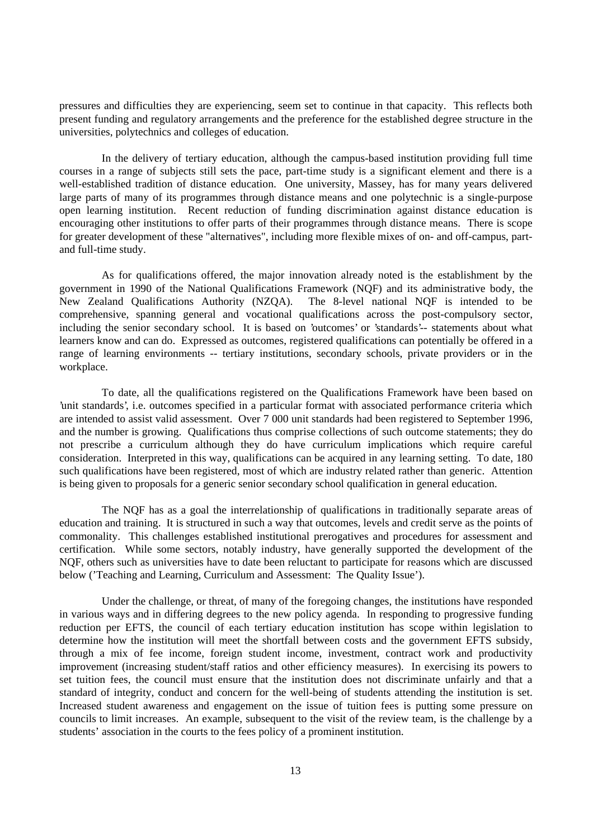pressures and difficulties they are experiencing, seem set to continue in that capacity. This reflects both present funding and regulatory arrangements and the preference for the established degree structure in the universities, polytechnics and colleges of education.

In the delivery of tertiary education, although the campus-based institution providing full time courses in a range of subjects still sets the pace, part-time study is a significant element and there is a well-established tradition of distance education. One university, Massey, has for many years delivered large parts of many of its programmes through distance means and one polytechnic is a single-purpose open learning institution. Recent reduction of funding discrimination against distance education is encouraging other institutions to offer parts of their programmes through distance means. There is scope for greater development of these "alternatives", including more flexible mixes of on- and off-campus, partand full-time study.

As for qualifications offered, the major innovation already noted is the establishment by the government in 1990 of the National Qualifications Framework (NQF) and its administrative body, the New Zealand Qualifications Authority (NZQA). The 8-level national NQF is intended to be comprehensive, spanning general and vocational qualifications across the post-compulsory sector, including the senior secondary school. It is based on 'outcomes' or 'standards'-- statements about what learners know and can do. Expressed as outcomes, registered qualifications can potentially be offered in a range of learning environments -- tertiary institutions, secondary schools, private providers or in the workplace.

To date, all the qualifications registered on the Qualifications Framework have been based on 'unit standards', i.e. outcomes specified in a particular format with associated performance criteria which are intended to assist valid assessment. Over 7 000 unit standards had been registered to September 1996, and the number is growing. Qualifications thus comprise collections of such outcome statements; they do not prescribe a curriculum although they do have curriculum implications which require careful consideration. Interpreted in this way, qualifications can be acquired in any learning setting. To date, 180 such qualifications have been registered, most of which are industry related rather than generic. Attention is being given to proposals for a generic senior secondary school qualification in general education.

The NQF has as a goal the interrelationship of qualifications in traditionally separate areas of education and training. It is structured in such a way that outcomes, levels and credit serve as the points of commonality. This challenges established institutional prerogatives and procedures for assessment and certification. While some sectors, notably industry, have generally supported the development of the NQF, others such as universities have to date been reluctant to participate for reasons which are discussed below ('Teaching and Learning, Curriculum and Assessment: The Quality Issue').

Under the challenge, or threat, of many of the foregoing changes, the institutions have responded in various ways and in differing degrees to the new policy agenda. In responding to progressive funding reduction per EFTS, the council of each tertiary education institution has scope within legislation to determine how the institution will meet the shortfall between costs and the government EFTS subsidy, through a mix of fee income, foreign student income, investment, contract work and productivity improvement (increasing student/staff ratios and other efficiency measures). In exercising its powers to set tuition fees, the council must ensure that the institution does not discriminate unfairly and that a standard of integrity, conduct and concern for the well-being of students attending the institution is set. Increased student awareness and engagement on the issue of tuition fees is putting some pressure on councils to limit increases. An example, subsequent to the visit of the review team, is the challenge by a students' association in the courts to the fees policy of a prominent institution.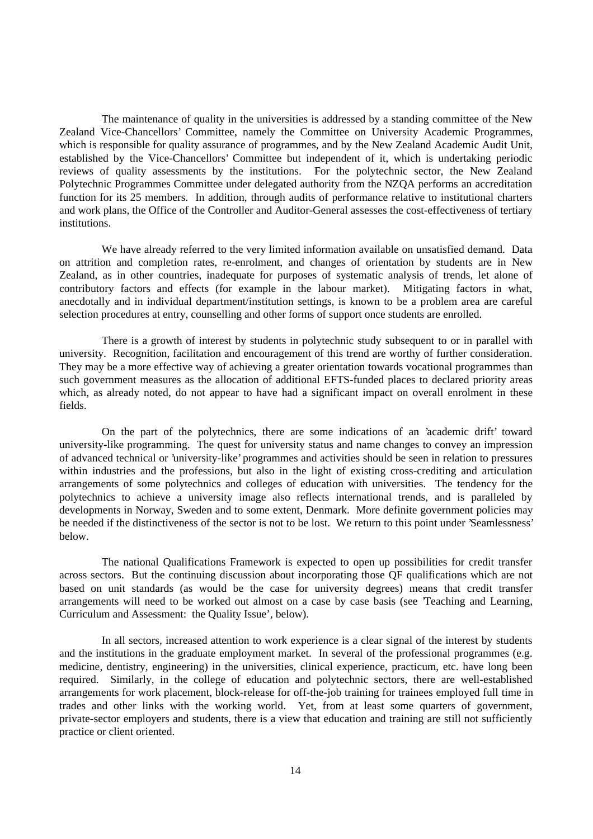The maintenance of quality in the universities is addressed by a standing committee of the New Zealand Vice-Chancellors' Committee, namely the Committee on University Academic Programmes, which is responsible for quality assurance of programmes, and by the New Zealand Academic Audit Unit, established by the Vice-Chancellors' Committee but independent of it, which is undertaking periodic reviews of quality assessments by the institutions. For the polytechnic sector, the New Zealand Polytechnic Programmes Committee under delegated authority from the NZQA performs an accreditation function for its 25 members. In addition, through audits of performance relative to institutional charters and work plans, the Office of the Controller and Auditor-General assesses the cost-effectiveness of tertiary institutions.

We have already referred to the very limited information available on unsatisfied demand. Data on attrition and completion rates, re-enrolment, and changes of orientation by students are in New Zealand, as in other countries, inadequate for purposes of systematic analysis of trends, let alone of contributory factors and effects (for example in the labour market). Mitigating factors in what, anecdotally and in individual department/institution settings, is known to be a problem area are careful selection procedures at entry, counselling and other forms of support once students are enrolled.

There is a growth of interest by students in polytechnic study subsequent to or in parallel with university. Recognition, facilitation and encouragement of this trend are worthy of further consideration. They may be a more effective way of achieving a greater orientation towards vocational programmes than such government measures as the allocation of additional EFTS-funded places to declared priority areas which, as already noted, do not appear to have had a significant impact on overall enrolment in these fields.

On the part of the polytechnics, there are some indications of an 'academic drift' toward university-like programming. The quest for university status and name changes to convey an impression of advanced technical or 'university-like' programmes and activities should be seen in relation to pressures within industries and the professions, but also in the light of existing cross-crediting and articulation arrangements of some polytechnics and colleges of education with universities. The tendency for the polytechnics to achieve a university image also reflects international trends, and is paralleled by developments in Norway, Sweden and to some extent, Denmark. More definite government policies may be needed if the distinctiveness of the sector is not to be lost. We return to this point under 'Seamlessness' below.

The national Qualifications Framework is expected to open up possibilities for credit transfer across sectors. But the continuing discussion about incorporating those QF qualifications which are not based on unit standards (as would be the case for university degrees) means that credit transfer arrangements will need to be worked out almost on a case by case basis (see 'Teaching and Learning, Curriculum and Assessment: the Quality Issue', below).

In all sectors, increased attention to work experience is a clear signal of the interest by students and the institutions in the graduate employment market. In several of the professional programmes (e.g. medicine, dentistry, engineering) in the universities, clinical experience, practicum, etc. have long been required. Similarly, in the college of education and polytechnic sectors, there are well-established arrangements for work placement, block-release for off-the-job training for trainees employed full time in trades and other links with the working world. Yet, from at least some quarters of government, private-sector employers and students, there is a view that education and training are still not sufficiently practice or client oriented.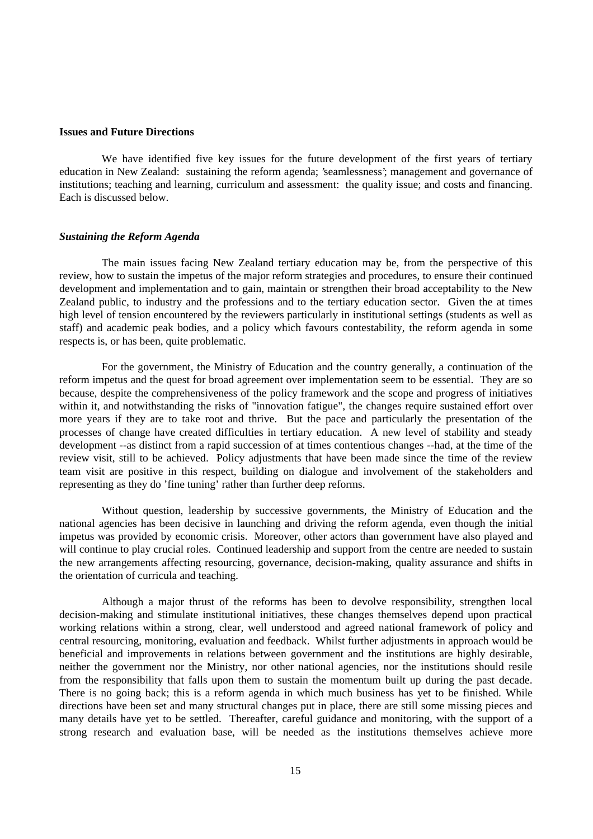#### **Issues and Future Directions**

We have identified five key issues for the future development of the first years of tertiary education in New Zealand: sustaining the reform agenda; 'seamlessness'; management and governance of institutions; teaching and learning, curriculum and assessment: the quality issue; and costs and financing. Each is discussed below.

#### *Sustaining the Reform Agenda*

The main issues facing New Zealand tertiary education may be, from the perspective of this review, how to sustain the impetus of the major reform strategies and procedures, to ensure their continued development and implementation and to gain, maintain or strengthen their broad acceptability to the New Zealand public, to industry and the professions and to the tertiary education sector. Given the at times high level of tension encountered by the reviewers particularly in institutional settings (students as well as staff) and academic peak bodies, and a policy which favours contestability, the reform agenda in some respects is, or has been, quite problematic.

For the government, the Ministry of Education and the country generally, a continuation of the reform impetus and the quest for broad agreement over implementation seem to be essential. They are so because, despite the comprehensiveness of the policy framework and the scope and progress of initiatives within it, and notwithstanding the risks of "innovation fatigue", the changes require sustained effort over more years if they are to take root and thrive. But the pace and particularly the presentation of the processes of change have created difficulties in tertiary education. A new level of stability and steady development --as distinct from a rapid succession of at times contentious changes --had, at the time of the review visit, still to be achieved. Policy adjustments that have been made since the time of the review team visit are positive in this respect, building on dialogue and involvement of the stakeholders and representing as they do 'fine tuning' rather than further deep reforms.

Without question, leadership by successive governments, the Ministry of Education and the national agencies has been decisive in launching and driving the reform agenda, even though the initial impetus was provided by economic crisis. Moreover, other actors than government have also played and will continue to play crucial roles. Continued leadership and support from the centre are needed to sustain the new arrangements affecting resourcing, governance, decision-making, quality assurance and shifts in the orientation of curricula and teaching.

Although a major thrust of the reforms has been to devolve responsibility, strengthen local decision-making and stimulate institutional initiatives, these changes themselves depend upon practical working relations within a strong, clear, well understood and agreed national framework of policy and central resourcing, monitoring, evaluation and feedback. Whilst further adjustments in approach would be beneficial and improvements in relations between government and the institutions are highly desirable, neither the government nor the Ministry, nor other national agencies, nor the institutions should resile from the responsibility that falls upon them to sustain the momentum built up during the past decade. There is no going back; this is a reform agenda in which much business has yet to be finished. While directions have been set and many structural changes put in place, there are still some missing pieces and many details have yet to be settled. Thereafter, careful guidance and monitoring, with the support of a strong research and evaluation base, will be needed as the institutions themselves achieve more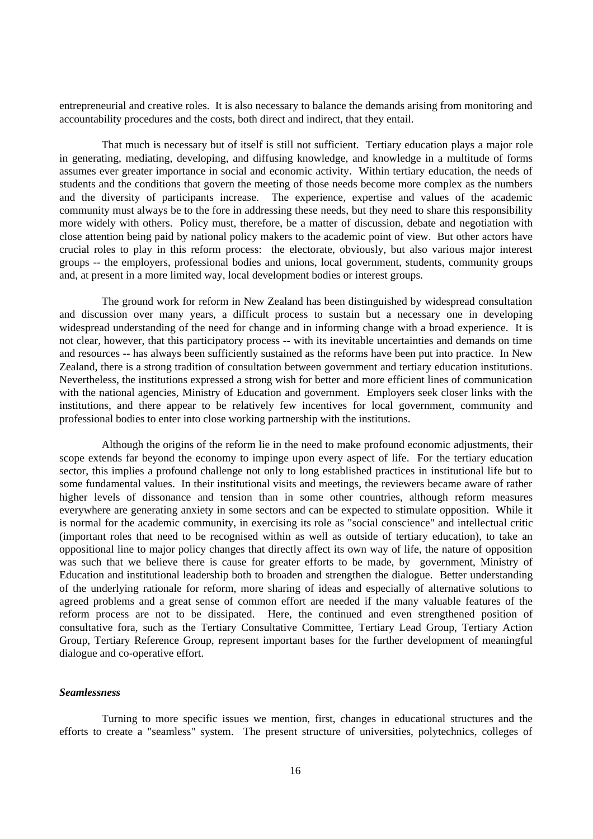entrepreneurial and creative roles. It is also necessary to balance the demands arising from monitoring and accountability procedures and the costs, both direct and indirect, that they entail.

That much is necessary but of itself is still not sufficient. Tertiary education plays a major role in generating, mediating, developing, and diffusing knowledge, and knowledge in a multitude of forms assumes ever greater importance in social and economic activity. Within tertiary education, the needs of students and the conditions that govern the meeting of those needs become more complex as the numbers and the diversity of participants increase. The experience, expertise and values of the academic community must always be to the fore in addressing these needs, but they need to share this responsibility more widely with others. Policy must, therefore, be a matter of discussion, debate and negotiation with close attention being paid by national policy makers to the academic point of view. But other actors have crucial roles to play in this reform process: the electorate, obviously, but also various major interest groups -- the employers, professional bodies and unions, local government, students, community groups and, at present in a more limited way, local development bodies or interest groups.

The ground work for reform in New Zealand has been distinguished by widespread consultation and discussion over many years, a difficult process to sustain but a necessary one in developing widespread understanding of the need for change and in informing change with a broad experience. It is not clear, however, that this participatory process -- with its inevitable uncertainties and demands on time and resources -- has always been sufficiently sustained as the reforms have been put into practice. In New Zealand, there is a strong tradition of consultation between government and tertiary education institutions. Nevertheless, the institutions expressed a strong wish for better and more efficient lines of communication with the national agencies, Ministry of Education and government. Employers seek closer links with the institutions, and there appear to be relatively few incentives for local government, community and professional bodies to enter into close working partnership with the institutions.

Although the origins of the reform lie in the need to make profound economic adjustments, their scope extends far beyond the economy to impinge upon every aspect of life. For the tertiary education sector, this implies a profound challenge not only to long established practices in institutional life but to some fundamental values. In their institutional visits and meetings, the reviewers became aware of rather higher levels of dissonance and tension than in some other countries, although reform measures everywhere are generating anxiety in some sectors and can be expected to stimulate opposition. While it is normal for the academic community, in exercising its role as "social conscience" and intellectual critic (important roles that need to be recognised within as well as outside of tertiary education), to take an oppositional line to major policy changes that directly affect its own way of life, the nature of opposition was such that we believe there is cause for greater efforts to be made, by government, Ministry of Education and institutional leadership both to broaden and strengthen the dialogue. Better understanding of the underlying rationale for reform, more sharing of ideas and especially of alternative solutions to agreed problems and a great sense of common effort are needed if the many valuable features of the reform process are not to be dissipated. Here, the continued and even strengthened position of consultative fora, such as the Tertiary Consultative Committee, Tertiary Lead Group, Tertiary Action Group, Tertiary Reference Group, represent important bases for the further development of meaningful dialogue and co-operative effort.

### *Seamlessness*

Turning to more specific issues we mention, first, changes in educational structures and the efforts to create a "seamless" system. The present structure of universities, polytechnics, colleges of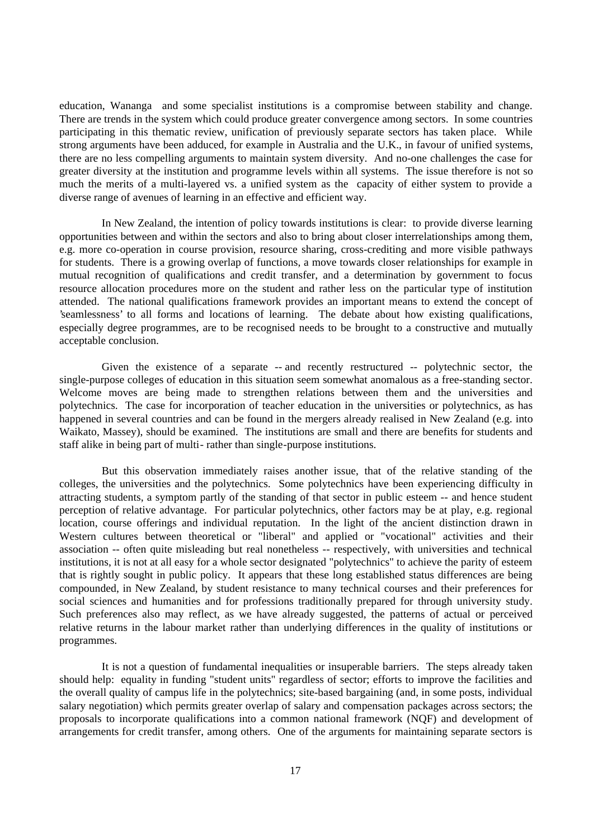education, Wananga and some specialist institutions is a compromise between stability and change. There are trends in the system which could produce greater convergence among sectors. In some countries participating in this thematic review, unification of previously separate sectors has taken place. While strong arguments have been adduced, for example in Australia and the U.K., in favour of unified systems, there are no less compelling arguments to maintain system diversity. And no-one challenges the case for greater diversity at the institution and programme levels within all systems. The issue therefore is not so much the merits of a multi-layered vs. a unified system as the capacity of either system to provide a diverse range of avenues of learning in an effective and efficient way.

In New Zealand, the intention of policy towards institutions is clear: to provide diverse learning opportunities between and within the sectors and also to bring about closer interrelationships among them, e.g. more co-operation in course provision, resource sharing, cross-crediting and more visible pathways for students. There is a growing overlap of functions, a move towards closer relationships for example in mutual recognition of qualifications and credit transfer, and a determination by government to focus resource allocation procedures more on the student and rather less on the particular type of institution attended. The national qualifications framework provides an important means to extend the concept of 'seamlessness' to all forms and locations of learning. The debate about how existing qualifications, especially degree programmes, are to be recognised needs to be brought to a constructive and mutually acceptable conclusion.

Given the existence of a separate -- and recently restructured -- polytechnic sector, the single-purpose colleges of education in this situation seem somewhat anomalous as a free-standing sector. Welcome moves are being made to strengthen relations between them and the universities and polytechnics. The case for incorporation of teacher education in the universities or polytechnics, as has happened in several countries and can be found in the mergers already realised in New Zealand (e.g. into Waikato, Massey), should be examined. The institutions are small and there are benefits for students and staff alike in being part of multi- rather than single-purpose institutions.

But this observation immediately raises another issue, that of the relative standing of the colleges, the universities and the polytechnics. Some polytechnics have been experiencing difficulty in attracting students, a symptom partly of the standing of that sector in public esteem -- and hence student perception of relative advantage. For particular polytechnics, other factors may be at play, e.g. regional location, course offerings and individual reputation. In the light of the ancient distinction drawn in Western cultures between theoretical or "liberal" and applied or "vocational" activities and their association -- often quite misleading but real nonetheless -- respectively, with universities and technical institutions, it is not at all easy for a whole sector designated "polytechnics" to achieve the parity of esteem that is rightly sought in public policy. It appears that these long established status differences are being compounded, in New Zealand, by student resistance to many technical courses and their preferences for social sciences and humanities and for professions traditionally prepared for through university study. Such preferences also may reflect, as we have already suggested, the patterns of actual or perceived relative returns in the labour market rather than underlying differences in the quality of institutions or programmes.

It is not a question of fundamental inequalities or insuperable barriers. The steps already taken should help: equality in funding "student units" regardless of sector; efforts to improve the facilities and the overall quality of campus life in the polytechnics; site-based bargaining (and, in some posts, individual salary negotiation) which permits greater overlap of salary and compensation packages across sectors; the proposals to incorporate qualifications into a common national framework (NQF) and development of arrangements for credit transfer, among others. One of the arguments for maintaining separate sectors is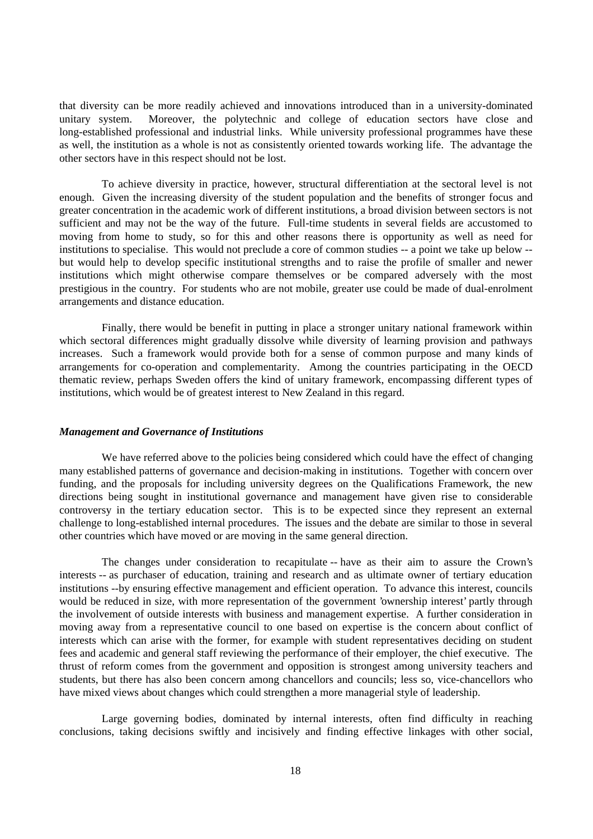that diversity can be more readily achieved and innovations introduced than in a university-dominated unitary system. Moreover, the polytechnic and college of education sectors have close and long-established professional and industrial links. While university professional programmes have these as well, the institution as a whole is not as consistently oriented towards working life. The advantage the other sectors have in this respect should not be lost.

To achieve diversity in practice, however, structural differentiation at the sectoral level is not enough. Given the increasing diversity of the student population and the benefits of stronger focus and greater concentration in the academic work of different institutions, a broad division between sectors is not sufficient and may not be the way of the future. Full-time students in several fields are accustomed to moving from home to study, so for this and other reasons there is opportunity as well as need for institutions to specialise. This would not preclude a core of common studies -- a point we take up below - but would help to develop specific institutional strengths and to raise the profile of smaller and newer institutions which might otherwise compare themselves or be compared adversely with the most prestigious in the country. For students who are not mobile, greater use could be made of dual-enrolment arrangements and distance education.

Finally, there would be benefit in putting in place a stronger unitary national framework within which sectoral differences might gradually dissolve while diversity of learning provision and pathways increases. Such a framework would provide both for a sense of common purpose and many kinds of arrangements for co-operation and complementarity. Among the countries participating in the OECD thematic review, perhaps Sweden offers the kind of unitary framework, encompassing different types of institutions, which would be of greatest interest to New Zealand in this regard.

## *Management and Governance of Institutions*

We have referred above to the policies being considered which could have the effect of changing many established patterns of governance and decision-making in institutions. Together with concern over funding, and the proposals for including university degrees on the Qualifications Framework, the new directions being sought in institutional governance and management have given rise to considerable controversy in the tertiary education sector. This is to be expected since they represent an external challenge to long-established internal procedures. The issues and the debate are similar to those in several other countries which have moved or are moving in the same general direction.

The changes under consideration to recapitulate -- have as their aim to assure the Crown's interests -- as purchaser of education, training and research and as ultimate owner of tertiary education institutions --by ensuring effective management and efficient operation. To advance this interest, councils would be reduced in size, with more representation of the government 'ownership interest' partly through the involvement of outside interests with business and management expertise. A further consideration in moving away from a representative council to one based on expertise is the concern about conflict of interests which can arise with the former, for example with student representatives deciding on student fees and academic and general staff reviewing the performance of their employer, the chief executive. The thrust of reform comes from the government and opposition is strongest among university teachers and students, but there has also been concern among chancellors and councils; less so, vice-chancellors who have mixed views about changes which could strengthen a more managerial style of leadership.

Large governing bodies, dominated by internal interests, often find difficulty in reaching conclusions, taking decisions swiftly and incisively and finding effective linkages with other social,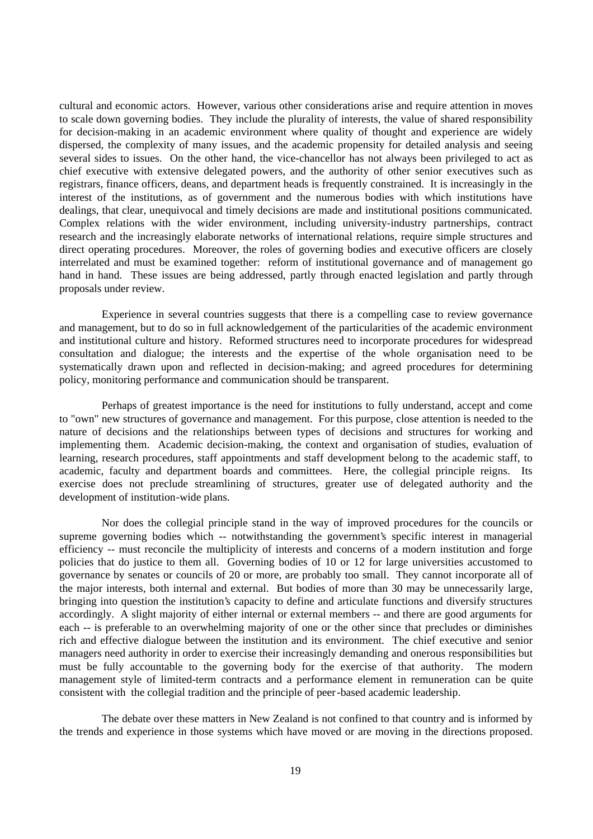cultural and economic actors. However, various other considerations arise and require attention in moves to scale down governing bodies. They include the plurality of interests, the value of shared responsibility for decision-making in an academic environment where quality of thought and experience are widely dispersed, the complexity of many issues, and the academic propensity for detailed analysis and seeing several sides to issues. On the other hand, the vice-chancellor has not always been privileged to act as chief executive with extensive delegated powers, and the authority of other senior executives such as registrars, finance officers, deans, and department heads is frequently constrained. It is increasingly in the interest of the institutions, as of government and the numerous bodies with which institutions have dealings, that clear, unequivocal and timely decisions are made and institutional positions communicated. Complex relations with the wider environment, including university-industry partnerships, contract research and the increasingly elaborate networks of international relations, require simple structures and direct operating procedures. Moreover, the roles of governing bodies and executive officers are closely interrelated and must be examined together: reform of institutional governance and of management go hand in hand. These issues are being addressed, partly through enacted legislation and partly through proposals under review.

Experience in several countries suggests that there is a compelling case to review governance and management, but to do so in full acknowledgement of the particularities of the academic environment and institutional culture and history. Reformed structures need to incorporate procedures for widespread consultation and dialogue; the interests and the expertise of the whole organisation need to be systematically drawn upon and reflected in decision-making; and agreed procedures for determining policy, monitoring performance and communication should be transparent.

Perhaps of greatest importance is the need for institutions to fully understand, accept and come to "own" new structures of governance and management. For this purpose, close attention is needed to the nature of decisions and the relationships between types of decisions and structures for working and implementing them. Academic decision-making, the context and organisation of studies, evaluation of learning, research procedures, staff appointments and staff development belong to the academic staff, to academic, faculty and department boards and committees. Here, the collegial principle reigns. Its exercise does not preclude streamlining of structures, greater use of delegated authority and the development of institution-wide plans.

Nor does the collegial principle stand in the way of improved procedures for the councils or supreme governing bodies which -- notwithstanding the government's specific interest in managerial efficiency -- must reconcile the multiplicity of interests and concerns of a modern institution and forge policies that do justice to them all. Governing bodies of 10 or 12 for large universities accustomed to governance by senates or councils of 20 or more, are probably too small. They cannot incorporate all of the major interests, both internal and external. But bodies of more than 30 may be unnecessarily large, bringing into question the institution's capacity to define and articulate functions and diversify structures accordingly. A slight majority of either internal or external members -- and there are good arguments for each -- is preferable to an overwhelming majority of one or the other since that precludes or diminishes rich and effective dialogue between the institution and its environment. The chief executive and senior managers need authority in order to exercise their increasingly demanding and onerous responsibilities but must be fully accountable to the governing body for the exercise of that authority. The modern management style of limited-term contracts and a performance element in remuneration can be quite consistent with the collegial tradition and the principle of peer-based academic leadership.

The debate over these matters in New Zealand is not confined to that country and is informed by the trends and experience in those systems which have moved or are moving in the directions proposed.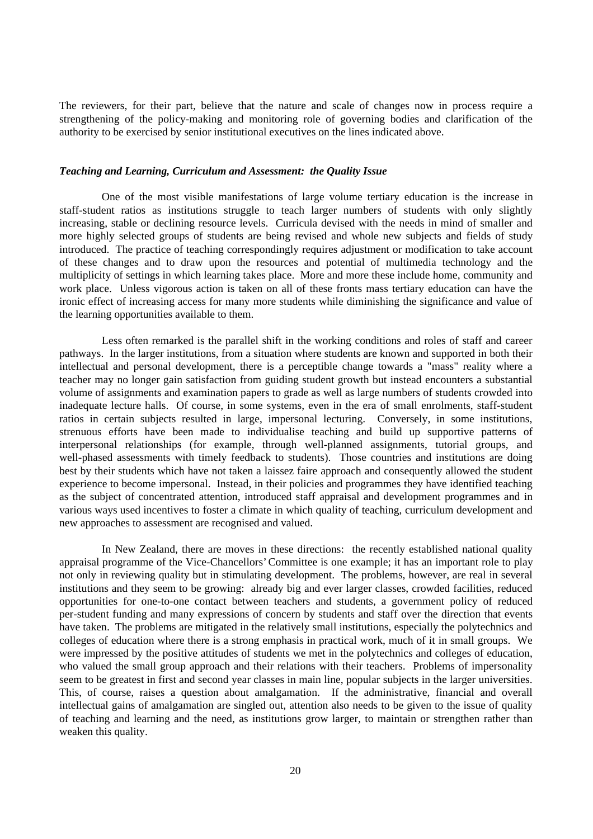The reviewers, for their part, believe that the nature and scale of changes now in process require a strengthening of the policy-making and monitoring role of governing bodies and clarification of the authority to be exercised by senior institutional executives on the lines indicated above.

## *Teaching and Learning, Curriculum and Assessment: the Quality Issue*

One of the most visible manifestations of large volume tertiary education is the increase in staff-student ratios as institutions struggle to teach larger numbers of students with only slightly increasing, stable or declining resource levels. Curricula devised with the needs in mind of smaller and more highly selected groups of students are being revised and whole new subjects and fields of study introduced. The practice of teaching correspondingly requires adjustment or modification to take account of these changes and to draw upon the resources and potential of multimedia technology and the multiplicity of settings in which learning takes place. More and more these include home, community and work place. Unless vigorous action is taken on all of these fronts mass tertiary education can have the ironic effect of increasing access for many more students while diminishing the significance and value of the learning opportunities available to them.

Less often remarked is the parallel shift in the working conditions and roles of staff and career pathways. In the larger institutions, from a situation where students are known and supported in both their intellectual and personal development, there is a perceptible change towards a "mass" reality where a teacher may no longer gain satisfaction from guiding student growth but instead encounters a substantial volume of assignments and examination papers to grade as well as large numbers of students crowded into inadequate lecture halls. Of course, in some systems, even in the era of small enrolments, staff-student ratios in certain subjects resulted in large, impersonal lecturing. Conversely, in some institutions, strenuous efforts have been made to individualise teaching and build up supportive patterns of interpersonal relationships (for example, through well-planned assignments, tutorial groups, and well-phased assessments with timely feedback to students). Those countries and institutions are doing best by their students which have not taken a laissez faire approach and consequently allowed the student experience to become impersonal. Instead, in their policies and programmes they have identified teaching as the subject of concentrated attention, introduced staff appraisal and development programmes and in various ways used incentives to foster a climate in which quality of teaching, curriculum development and new approaches to assessment are recognised and valued.

In New Zealand, there are moves in these directions: the recently established national quality appraisal programme of the Vice-Chancellors' Committee is one example; it has an important role to play not only in reviewing quality but in stimulating development. The problems, however, are real in several institutions and they seem to be growing: already big and ever larger classes, crowded facilities, reduced opportunities for one-to-one contact between teachers and students, a government policy of reduced per-student funding and many expressions of concern by students and staff over the direction that events have taken. The problems are mitigated in the relatively small institutions, especially the polytechnics and colleges of education where there is a strong emphasis in practical work, much of it in small groups. We were impressed by the positive attitudes of students we met in the polytechnics and colleges of education, who valued the small group approach and their relations with their teachers. Problems of impersonality seem to be greatest in first and second year classes in main line, popular subjects in the larger universities. This, of course, raises a question about amalgamation. If the administrative, financial and overall intellectual gains of amalgamation are singled out, attention also needs to be given to the issue of quality of teaching and learning and the need, as institutions grow larger, to maintain or strengthen rather than weaken this quality.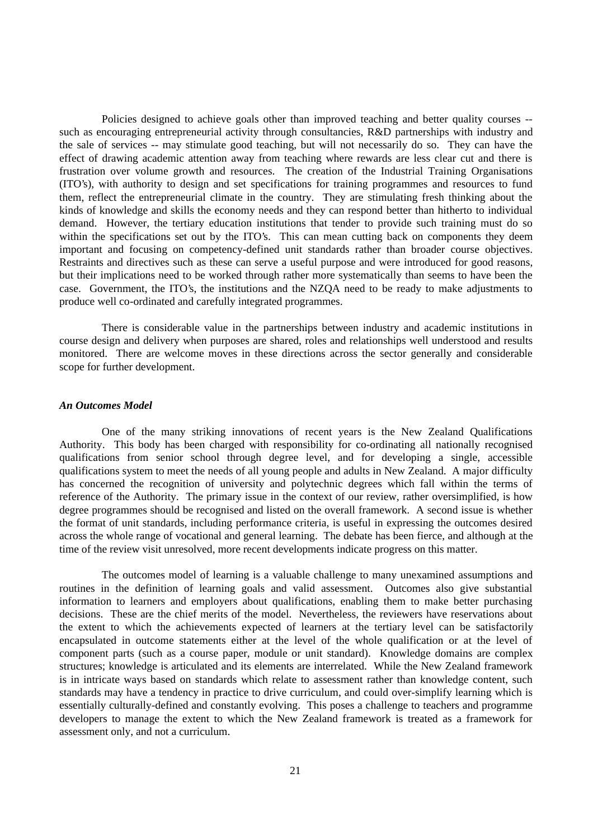Policies designed to achieve goals other than improved teaching and better quality courses - such as encouraging entrepreneurial activity through consultancies, R&D partnerships with industry and the sale of services -- may stimulate good teaching, but will not necessarily do so. They can have the effect of drawing academic attention away from teaching where rewards are less clear cut and there is frustration over volume growth and resources. The creation of the Industrial Training Organisations (ITO's), with authority to design and set specifications for training programmes and resources to fund them, reflect the entrepreneurial climate in the country. They are stimulating fresh thinking about the kinds of knowledge and skills the economy needs and they can respond better than hitherto to individual demand. However, the tertiary education institutions that tender to provide such training must do so within the specifications set out by the ITO's. This can mean cutting back on components they deem important and focusing on competency-defined unit standards rather than broader course objectives. Restraints and directives such as these can serve a useful purpose and were introduced for good reasons, but their implications need to be worked through rather more systematically than seems to have been the case. Government, the ITO's, the institutions and the NZQA need to be ready to make adjustments to produce well co-ordinated and carefully integrated programmes.

There is considerable value in the partnerships between industry and academic institutions in course design and delivery when purposes are shared, roles and relationships well understood and results monitored. There are welcome moves in these directions across the sector generally and considerable scope for further development.

#### *An Outcomes Model*

One of the many striking innovations of recent years is the New Zealand Qualifications Authority. This body has been charged with responsibility for co-ordinating all nationally recognised qualifications from senior school through degree level, and for developing a single, accessible qualifications system to meet the needs of all young people and adults in New Zealand. A major difficulty has concerned the recognition of university and polytechnic degrees which fall within the terms of reference of the Authority. The primary issue in the context of our review, rather oversimplified, is how degree programmes should be recognised and listed on the overall framework. A second issue is whether the format of unit standards, including performance criteria, is useful in expressing the outcomes desired across the whole range of vocational and general learning. The debate has been fierce, and although at the time of the review visit unresolved, more recent developments indicate progress on this matter.

The outcomes model of learning is a valuable challenge to many unexamined assumptions and routines in the definition of learning goals and valid assessment. Outcomes also give substantial information to learners and employers about qualifications, enabling them to make better purchasing decisions. These are the chief merits of the model. Nevertheless, the reviewers have reservations about the extent to which the achievements expected of learners at the tertiary level can be satisfactorily encapsulated in outcome statements either at the level of the whole qualification or at the level of component parts (such as a course paper, module or unit standard). Knowledge domains are complex structures; knowledge is articulated and its elements are interrelated. While the New Zealand framework is in intricate ways based on standards which relate to assessment rather than knowledge content, such standards may have a tendency in practice to drive curriculum, and could over-simplify learning which is essentially culturally-defined and constantly evolving. This poses a challenge to teachers and programme developers to manage the extent to which the New Zealand framework is treated as a framework for assessment only, and not a curriculum.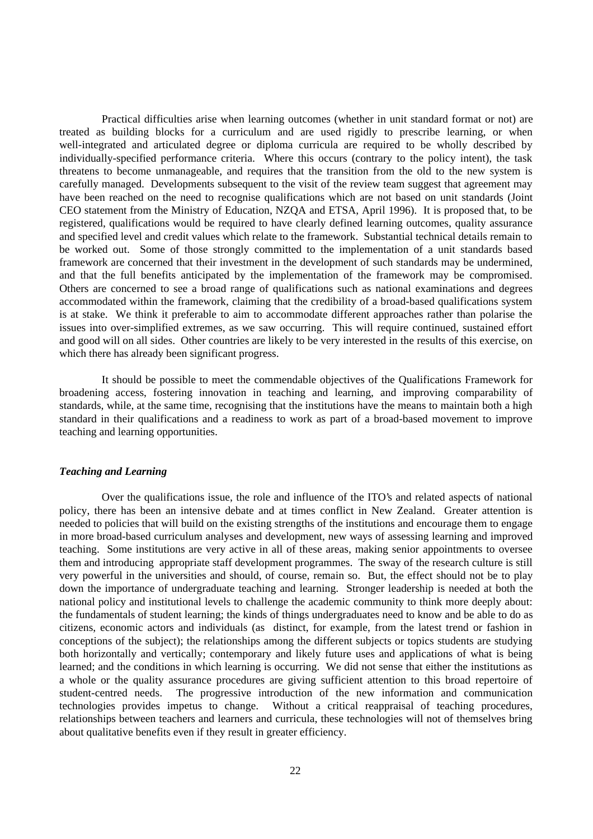Practical difficulties arise when learning outcomes (whether in unit standard format or not) are treated as building blocks for a curriculum and are used rigidly to prescribe learning, or when well-integrated and articulated degree or diploma curricula are required to be wholly described by individually-specified performance criteria. Where this occurs (contrary to the policy intent), the task threatens to become unmanageable, and requires that the transition from the old to the new system is carefully managed. Developments subsequent to the visit of the review team suggest that agreement may have been reached on the need to recognise qualifications which are not based on unit standards (Joint CEO statement from the Ministry of Education, NZQA and ETSA, April 1996). It is proposed that, to be registered, qualifications would be required to have clearly defined learning outcomes, quality assurance and specified level and credit values which relate to the framework. Substantial technical details remain to be worked out. Some of those strongly committed to the implementation of a unit standards based framework are concerned that their investment in the development of such standards may be undermined, and that the full benefits anticipated by the implementation of the framework may be compromised. Others are concerned to see a broad range of qualifications such as national examinations and degrees accommodated within the framework, claiming that the credibility of a broad-based qualifications system is at stake. We think it preferable to aim to accommodate different approaches rather than polarise the issues into over-simplified extremes, as we saw occurring. This will require continued, sustained effort and good will on all sides. Other countries are likely to be very interested in the results of this exercise, on which there has already been significant progress.

It should be possible to meet the commendable objectives of the Qualifications Framework for broadening access, fostering innovation in teaching and learning, and improving comparability of standards, while, at the same time, recognising that the institutions have the means to maintain both a high standard in their qualifications and a readiness to work as part of a broad-based movement to improve teaching and learning opportunities.

### *Teaching and Learning*

Over the qualifications issue, the role and influence of the ITO's and related aspects of national policy, there has been an intensive debate and at times conflict in New Zealand. Greater attention is needed to policies that will build on the existing strengths of the institutions and encourage them to engage in more broad-based curriculum analyses and development, new ways of assessing learning and improved teaching. Some institutions are very active in all of these areas, making senior appointments to oversee them and introducing appropriate staff development programmes. The sway of the research culture is still very powerful in the universities and should, of course, remain so. But, the effect should not be to play down the importance of undergraduate teaching and learning. Stronger leadership is needed at both the national policy and institutional levels to challenge the academic community to think more deeply about: the fundamentals of student learning; the kinds of things undergraduates need to know and be able to do as citizens, economic actors and individuals (as distinct, for example, from the latest trend or fashion in conceptions of the subject); the relationships among the different subjects or topics students are studying both horizontally and vertically; contemporary and likely future uses and applications of what is being learned; and the conditions in which learning is occurring. We did not sense that either the institutions as a whole or the quality assurance procedures are giving sufficient attention to this broad repertoire of student-centred needs. The progressive introduction of the new information and communication technologies provides impetus to change. Without a critical reappraisal of teaching procedures, relationships between teachers and learners and curricula, these technologies will not of themselves bring about qualitative benefits even if they result in greater efficiency.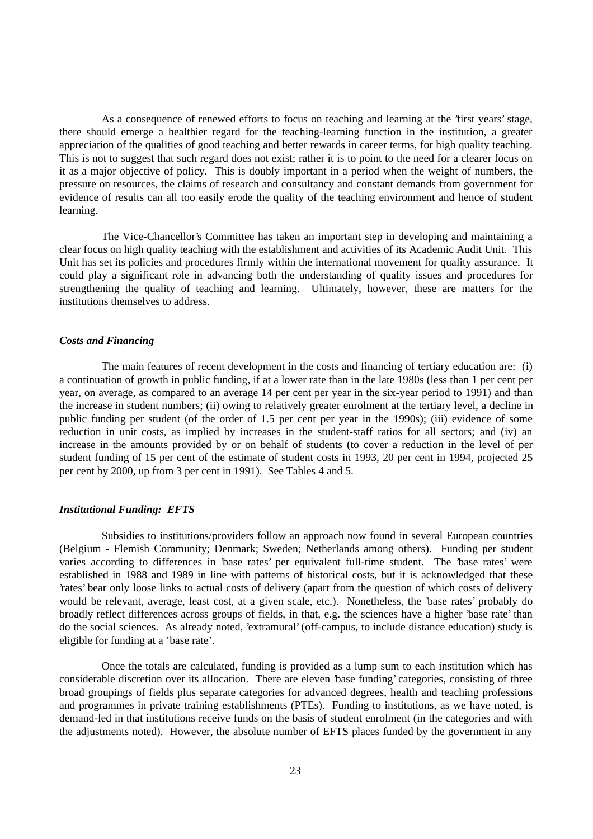As a consequence of renewed efforts to focus on teaching and learning at the 'first years' stage, there should emerge a healthier regard for the teaching-learning function in the institution, a greater appreciation of the qualities of good teaching and better rewards in career terms, for high quality teaching. This is not to suggest that such regard does not exist; rather it is to point to the need for a clearer focus on it as a major objective of policy. This is doubly important in a period when the weight of numbers, the pressure on resources, the claims of research and consultancy and constant demands from government for evidence of results can all too easily erode the quality of the teaching environment and hence of student learning.

The Vice-Chancellor's Committee has taken an important step in developing and maintaining a clear focus on high quality teaching with the establishment and activities of its Academic Audit Unit. This Unit has set its policies and procedures firmly within the international movement for quality assurance. It could play a significant role in advancing both the understanding of quality issues and procedures for strengthening the quality of teaching and learning. Ultimately, however, these are matters for the institutions themselves to address.

#### *Costs and Financing*

The main features of recent development in the costs and financing of tertiary education are: (i) a continuation of growth in public funding, if at a lower rate than in the late 1980s (less than 1 per cent per year, on average, as compared to an average 14 per cent per year in the six-year period to 1991) and than the increase in student numbers; (ii) owing to relatively greater enrolment at the tertiary level, a decline in public funding per student (of the order of 1.5 per cent per year in the 1990s); (iii) evidence of some reduction in unit costs, as implied by increases in the student-staff ratios for all sectors; and (iv) an increase in the amounts provided by or on behalf of students (to cover a reduction in the level of per student funding of 15 per cent of the estimate of student costs in 1993, 20 per cent in 1994, projected 25 per cent by 2000, up from 3 per cent in 1991). See Tables 4 and 5.

## *Institutional Funding: EFTS*

Subsidies to institutions/providers follow an approach now found in several European countries (Belgium - Flemish Community; Denmark; Sweden; Netherlands among others). Funding per student varies according to differences in 'base rates' per equivalent full-time student. The 'base rates' were established in 1988 and 1989 in line with patterns of historical costs, but it is acknowledged that these 'rates' bear only loose links to actual costs of delivery (apart from the question of which costs of delivery would be relevant, average, least cost, at a given scale, etc.). Nonetheless, the 'base rates' probably do broadly reflect differences across groups of fields, in that, e.g. the sciences have a higher 'base rate' than do the social sciences. As already noted, 'extramural' (off-campus, to include distance education) study is eligible for funding at a 'base rate'.

Once the totals are calculated, funding is provided as a lump sum to each institution which has considerable discretion over its allocation. There are eleven 'base funding' categories, consisting of three broad groupings of fields plus separate categories for advanced degrees, health and teaching professions and programmes in private training establishments (PTEs). Funding to institutions, as we have noted, is demand-led in that institutions receive funds on the basis of student enrolment (in the categories and with the adjustments noted). However, the absolute number of EFTS places funded by the government in any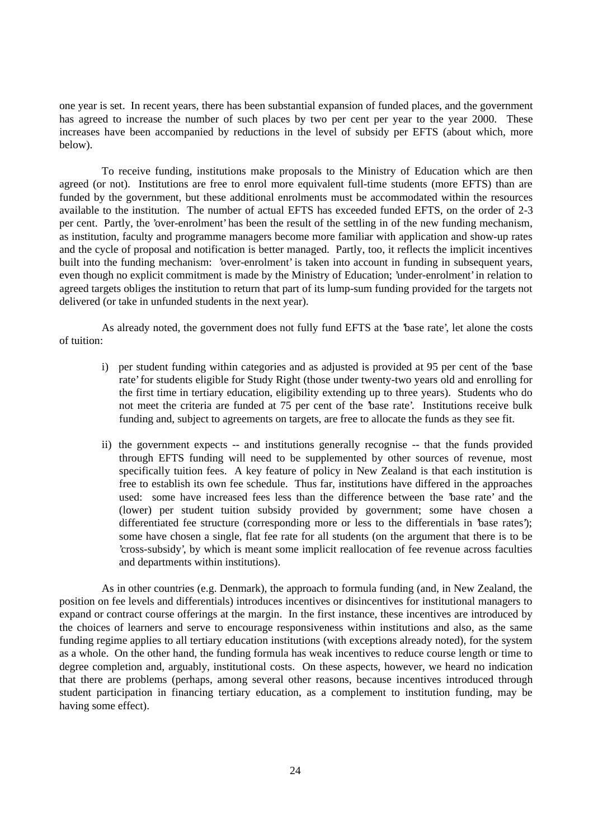one year is set. In recent years, there has been substantial expansion of funded places, and the government has agreed to increase the number of such places by two per cent per year to the year 2000. These increases have been accompanied by reductions in the level of subsidy per EFTS (about which, more below).

To receive funding, institutions make proposals to the Ministry of Education which are then agreed (or not). Institutions are free to enrol more equivalent full-time students (more EFTS) than are funded by the government, but these additional enrolments must be accommodated within the resources available to the institution. The number of actual EFTS has exceeded funded EFTS, on the order of 2-3 per cent. Partly, the 'over-enrolment' has been the result of the settling in of the new funding mechanism, as institution, faculty and programme managers become more familiar with application and show-up rates and the cycle of proposal and notification is better managed. Partly, too, it reflects the implicit incentives built into the funding mechanism: 'over-enrolment' is taken into account in funding in subsequent years, even though no explicit commitment is made by the Ministry of Education; 'under-enrolment' in relation to agreed targets obliges the institution to return that part of its lump-sum funding provided for the targets not delivered (or take in unfunded students in the next year).

As already noted, the government does not fully fund EFTS at the 'base rate', let alone the costs of tuition:

- i) per student funding within categories and as adjusted is provided at 95 per cent of the 'base rate' for students eligible for Study Right (those under twenty-two years old and enrolling for the first time in tertiary education, eligibility extending up to three years). Students who do not meet the criteria are funded at 75 per cent of the 'base rate'. Institutions receive bulk funding and, subject to agreements on targets, are free to allocate the funds as they see fit.
- ii) the government expects -- and institutions generally recognise -- that the funds provided through EFTS funding will need to be supplemented by other sources of revenue, most specifically tuition fees. A key feature of policy in New Zealand is that each institution is free to establish its own fee schedule. Thus far, institutions have differed in the approaches used: some have increased fees less than the difference between the 'base rate' and the (lower) per student tuition subsidy provided by government; some have chosen a differentiated fee structure (corresponding more or less to the differentials in 'base rates'); some have chosen a single, flat fee rate for all students (on the argument that there is to be 'cross-subsidy', by which is meant some implicit reallocation of fee revenue across faculties and departments within institutions).

As in other countries (e.g. Denmark), the approach to formula funding (and, in New Zealand, the position on fee levels and differentials) introduces incentives or disincentives for institutional managers to expand or contract course offerings at the margin. In the first instance, these incentives are introduced by the choices of learners and serve to encourage responsiveness within institutions and also, as the same funding regime applies to all tertiary education institutions (with exceptions already noted), for the system as a whole. On the other hand, the funding formula has weak incentives to reduce course length or time to degree completion and, arguably, institutional costs. On these aspects, however, we heard no indication that there are problems (perhaps, among several other reasons, because incentives introduced through student participation in financing tertiary education, as a complement to institution funding, may be having some effect).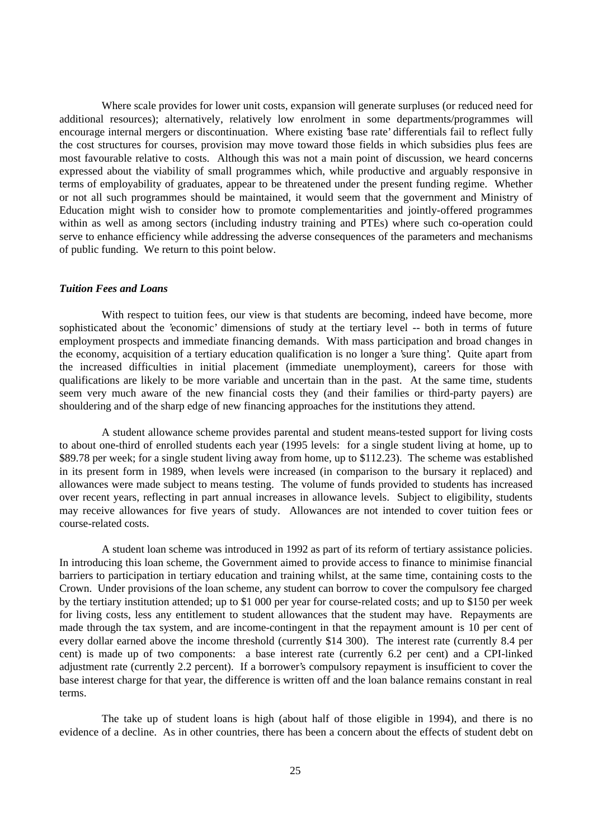Where scale provides for lower unit costs, expansion will generate surpluses (or reduced need for additional resources); alternatively, relatively low enrolment in some departments/programmes will encourage internal mergers or discontinuation. Where existing 'base rate' differentials fail to reflect fully the cost structures for courses, provision may move toward those fields in which subsidies plus fees are most favourable relative to costs. Although this was not a main point of discussion, we heard concerns expressed about the viability of small programmes which, while productive and arguably responsive in terms of employability of graduates, appear to be threatened under the present funding regime. Whether or not all such programmes should be maintained, it would seem that the government and Ministry of Education might wish to consider how to promote complementarities and jointly-offered programmes within as well as among sectors (including industry training and PTEs) where such co-operation could serve to enhance efficiency while addressing the adverse consequences of the parameters and mechanisms of public funding. We return to this point below.

### *Tuition Fees and Loans*

With respect to tuition fees, our view is that students are becoming, indeed have become, more sophisticated about the 'economic' dimensions of study at the tertiary level -- both in terms of future employment prospects and immediate financing demands. With mass participation and broad changes in the economy, acquisition of a tertiary education qualification is no longer a 'sure thing'. Quite apart from the increased difficulties in initial placement (immediate unemployment), careers for those with qualifications are likely to be more variable and uncertain than in the past. At the same time, students seem very much aware of the new financial costs they (and their families or third-party payers) are shouldering and of the sharp edge of new financing approaches for the institutions they attend.

A student allowance scheme provides parental and student means-tested support for living costs to about one-third of enrolled students each year (1995 levels: for a single student living at home, up to \$89.78 per week; for a single student living away from home, up to \$112.23). The scheme was established in its present form in 1989, when levels were increased (in comparison to the bursary it replaced) and allowances were made subject to means testing. The volume of funds provided to students has increased over recent years, reflecting in part annual increases in allowance levels. Subject to eligibility, students may receive allowances for five years of study. Allowances are not intended to cover tuition fees or course-related costs.

A student loan scheme was introduced in 1992 as part of its reform of tertiary assistance policies. In introducing this loan scheme, the Government aimed to provide access to finance to minimise financial barriers to participation in tertiary education and training whilst, at the same time, containing costs to the Crown. Under provisions of the loan scheme, any student can borrow to cover the compulsory fee charged by the tertiary institution attended; up to \$1 000 per year for course-related costs; and up to \$150 per week for living costs, less any entitlement to student allowances that the student may have. Repayments are made through the tax system, and are income-contingent in that the repayment amount is 10 per cent of every dollar earned above the income threshold (currently \$14 300). The interest rate (currently 8.4 per cent) is made up of two components: a base interest rate (currently 6.2 per cent) and a CPI-linked adjustment rate (currently 2.2 percent). If a borrower's compulsory repayment is insufficient to cover the base interest charge for that year, the difference is written off and the loan balance remains constant in real terms.

The take up of student loans is high (about half of those eligible in 1994), and there is no evidence of a decline. As in other countries, there has been a concern about the effects of student debt on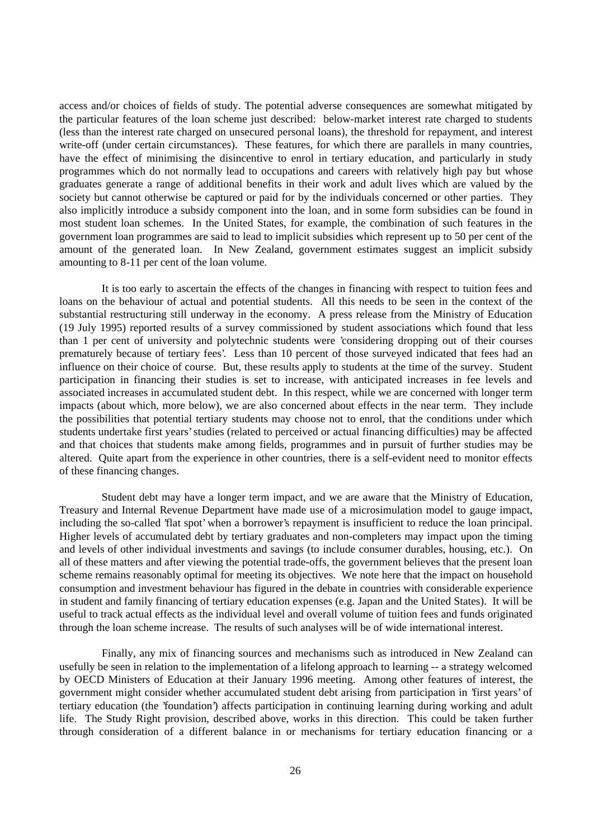access and/or choices of fields of study. The potential adverse consequences are somewhat mitigated by the particular features of the loan scheme just described: below-market interest rate charged to students (less than the interest rate charged on unsecured personal loans), the threshold for repayment, and interest write-off (under certain circumstances). These features, for which there are parallels in many countries, have the effect of minimising the disincentive to enrol in tertiary education, and particularly in study programmes which do not normally lead to occupations and careers with relatively high pay but whose graduates generate a range of additional benefits in their work and adult lives which are valued by the society but cannot otherwise be captured or paid for by the individuals concerned or other parties. They also implicitly introduce a subsidy component into the loan, and in some form subsidies can be found in most student loan schemes. In the United States, for example, the combination of such features in the government loan programmes are said to lead to implicit subsidies which represent up to 50 per cent of the amount of the generated loan. In New Zealand, government estimates suggest an implicit subsidy amounting to 8-11 per cent of the loan volume.

It is too early to ascertain the effects of the changes in financing with respect to tuition fees and loans on the behaviour of actual and potential students. All this needs to be seen in the context of the substantial restructuring still underway in the economy. A press release from the Ministry of Education (19 July 1995) reported results of a survey commissioned by student associations which found that less than 1 per cent of university and polytechnic students were 'considering dropping out of their courses prematurely because of tertiary fees'. Less than 10 percent of those surveyed indicated that fees had an influence on their choice of course. But, these results apply to students at the time of the survey. Student participation in financing their studies is set to increase, with anticipated increases in fee levels and associated increases in accumulated student debt. In this respect, while we are concerned with longer term impacts (about which, more below), we are also concerned about effects in the near term. They include the possibilities that potential tertiary students may choose not to enrol, that the conditions under which students undertake first years' studies (related to perceived or actual financing difficulties) may be affected and that choices that students make among fields, programmes and in pursuit of further studies may be altered. Quite apart from the experience in other countries, there is a self-evident need to monitor effects of these financing changes.

Student debt may have a longer term impact, and we are aware that the Ministry of Education, Treasury and Internal Revenue Department have made use of a microsimulation model to gauge impact, including the so-called 'flat spot' when a borrower's repayment is insufficient to reduce the loan principal. Higher levels of accumulated debt by tertiary graduates and non-completers may impact upon the timing and levels of other individual investments and savings (to include consumer durables, housing, etc.). On all of these matters and after viewing the potential trade-offs, the government believes that the present loan scheme remains reasonably optimal for meeting its objectives. We note here that the impact on household consumption and investment behaviour has figured in the debate in countries with considerable experience in student and family financing of tertiary education expenses (e.g. Japan and the United States). It will be useful to track actual effects as the individual level and overall volume of tuition fees and funds originated through the loan scheme increase. The results of such analyses will be of wide international interest.

Finally, any mix of financing sources and mechanisms such as introduced in New Zealand can usefully be seen in relation to the implementation of a lifelong approach to learning -- a strategy welcomed by OECD Ministers of Education at their January 1996 meeting. Among other features of interest, the government might consider whether accumulated student debt arising from participation in 'first years' of tertiary education (the 'foundation') affects participation in continuing learning during working and adult life. The Study Right provision, described above, works in this direction. This could be taken further through consideration of a different balance in or mechanisms for tertiary education financing or a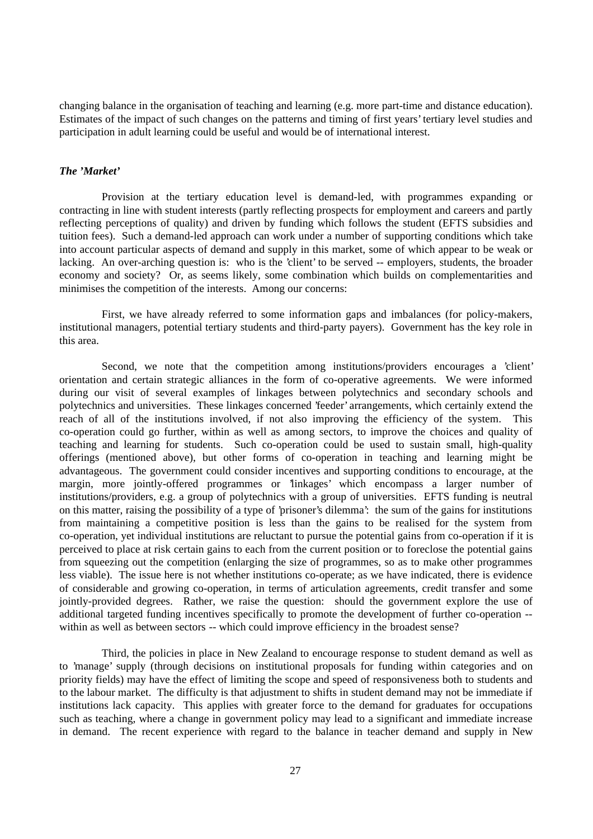changing balance in the organisation of teaching and learning (e.g. more part-time and distance education). Estimates of the impact of such changes on the patterns and timing of first years' tertiary level studies and participation in adult learning could be useful and would be of international interest.

## *The 'Market'*

Provision at the tertiary education level is demand-led, with programmes expanding or contracting in line with student interests (partly reflecting prospects for employment and careers and partly reflecting perceptions of quality) and driven by funding which follows the student (EFTS subsidies and tuition fees). Such a demand-led approach can work under a number of supporting conditions which take into account particular aspects of demand and supply in this market, some of which appear to be weak or lacking. An over-arching question is: who is the 'client' to be served -- employers, students, the broader economy and society? Or, as seems likely, some combination which builds on complementarities and minimises the competition of the interests. Among our concerns:

First, we have already referred to some information gaps and imbalances (for policy-makers, institutional managers, potential tertiary students and third-party payers). Government has the key role in this area.

Second, we note that the competition among institutions/providers encourages a 'client' orientation and certain strategic alliances in the form of co-operative agreements. We were informed during our visit of several examples of linkages between polytechnics and secondary schools and polytechnics and universities. These linkages concerned 'feeder' arrangements, which certainly extend the reach of all of the institutions involved, if not also improving the efficiency of the system. This co-operation could go further, within as well as among sectors, to improve the choices and quality of teaching and learning for students. Such co-operation could be used to sustain small, high-quality offerings (mentioned above), but other forms of co-operation in teaching and learning might be advantageous. The government could consider incentives and supporting conditions to encourage, at the margin, more jointly-offered programmes or 'linkages' which encompass a larger number of institutions/providers, e.g. a group of polytechnics with a group of universities. EFTS funding is neutral on this matter, raising the possibility of a type of 'prisoner's dilemma': the sum of the gains for institutions from maintaining a competitive position is less than the gains to be realised for the system from co-operation, yet individual institutions are reluctant to pursue the potential gains from co-operation if it is perceived to place at risk certain gains to each from the current position or to foreclose the potential gains from squeezing out the competition (enlarging the size of programmes, so as to make other programmes less viable). The issue here is not whether institutions co-operate; as we have indicated, there is evidence of considerable and growing co-operation, in terms of articulation agreements, credit transfer and some jointly-provided degrees. Rather, we raise the question: should the government explore the use of additional targeted funding incentives specifically to promote the development of further co-operation - within as well as between sectors -- which could improve efficiency in the broadest sense?

Third, the policies in place in New Zealand to encourage response to student demand as well as to 'manage' supply (through decisions on institutional proposals for funding within categories and on priority fields) may have the effect of limiting the scope and speed of responsiveness both to students and to the labour market. The difficulty is that adjustment to shifts in student demand may not be immediate if institutions lack capacity. This applies with greater force to the demand for graduates for occupations such as teaching, where a change in government policy may lead to a significant and immediate increase in demand. The recent experience with regard to the balance in teacher demand and supply in New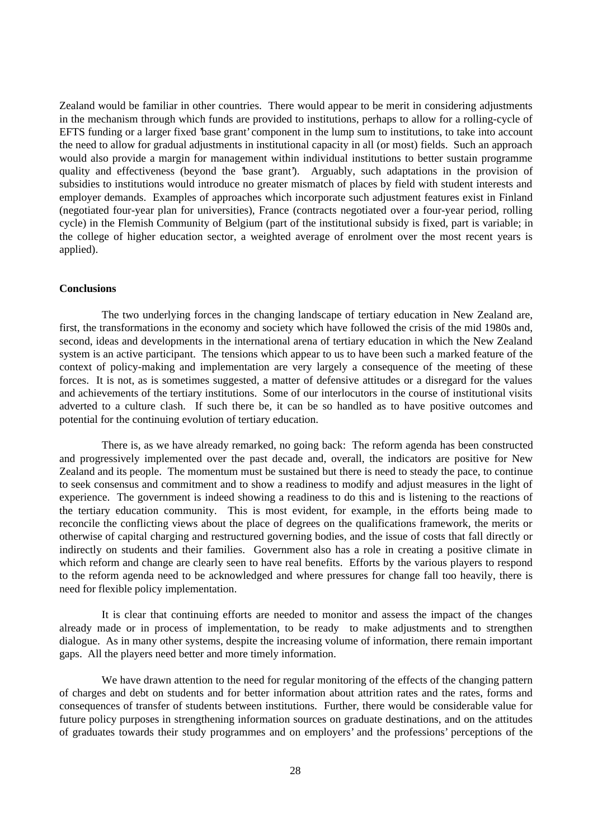Zealand would be familiar in other countries. There would appear to be merit in considering adjustments in the mechanism through which funds are provided to institutions, perhaps to allow for a rolling-cycle of EFTS funding or a larger fixed 'base grant' component in the lump sum to institutions, to take into account the need to allow for gradual adjustments in institutional capacity in all (or most) fields. Such an approach would also provide a margin for management within individual institutions to better sustain programme quality and effectiveness (beyond the 'base grant'). Arguably, such adaptations in the provision of subsidies to institutions would introduce no greater mismatch of places by field with student interests and employer demands. Examples of approaches which incorporate such adjustment features exist in Finland (negotiated four-year plan for universities), France (contracts negotiated over a four-year period, rolling cycle) in the Flemish Community of Belgium (part of the institutional subsidy is fixed, part is variable; in the college of higher education sector, a weighted average of enrolment over the most recent years is applied).

## **Conclusions**

The two underlying forces in the changing landscape of tertiary education in New Zealand are, first, the transformations in the economy and society which have followed the crisis of the mid 1980s and, second, ideas and developments in the international arena of tertiary education in which the New Zealand system is an active participant. The tensions which appear to us to have been such a marked feature of the context of policy-making and implementation are very largely a consequence of the meeting of these forces. It is not, as is sometimes suggested, a matter of defensive attitudes or a disregard for the values and achievements of the tertiary institutions. Some of our interlocutors in the course of institutional visits adverted to a culture clash. If such there be, it can be so handled as to have positive outcomes and potential for the continuing evolution of tertiary education.

There is, as we have already remarked, no going back: The reform agenda has been constructed and progressively implemented over the past decade and, overall, the indicators are positive for New Zealand and its people. The momentum must be sustained but there is need to steady the pace, to continue to seek consensus and commitment and to show a readiness to modify and adjust measures in the light of experience. The government is indeed showing a readiness to do this and is listening to the reactions of the tertiary education community. This is most evident, for example, in the efforts being made to reconcile the conflicting views about the place of degrees on the qualifications framework, the merits or otherwise of capital charging and restructured governing bodies, and the issue of costs that fall directly or indirectly on students and their families. Government also has a role in creating a positive climate in which reform and change are clearly seen to have real benefits. Efforts by the various players to respond to the reform agenda need to be acknowledged and where pressures for change fall too heavily, there is need for flexible policy implementation.

It is clear that continuing efforts are needed to monitor and assess the impact of the changes already made or in process of implementation, to be ready to make adjustments and to strengthen dialogue. As in many other systems, despite the increasing volume of information, there remain important gaps. All the players need better and more timely information.

We have drawn attention to the need for regular monitoring of the effects of the changing pattern of charges and debt on students and for better information about attrition rates and the rates, forms and consequences of transfer of students between institutions. Further, there would be considerable value for future policy purposes in strengthening information sources on graduate destinations, and on the attitudes of graduates towards their study programmes and on employers' and the professions' perceptions of the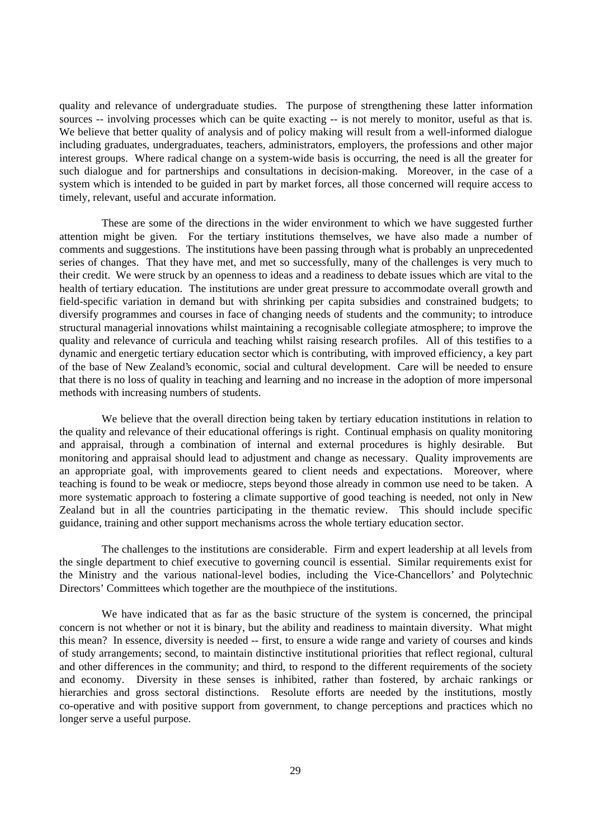quality and relevance of undergraduate studies. The purpose of strengthening these latter information sources -- involving processes which can be quite exacting -- is not merely to monitor, useful as that is. We believe that better quality of analysis and of policy making will result from a well-informed dialogue including graduates, undergraduates, teachers, administrators, employers, the professions and other major interest groups. Where radical change on a system-wide basis is occurring, the need is all the greater for such dialogue and for partnerships and consultations in decision-making. Moreover, in the case of a system which is intended to be guided in part by market forces, all those concerned will require access to timely, relevant, useful and accurate information.

These are some of the directions in the wider environment to which we have suggested further attention might be given. For the tertiary institutions themselves, we have also made a number of comments and suggestions. The institutions have been passing through what is probably an unprecedented series of changes. That they have met, and met so successfully, many of the challenges is very much to their credit. We were struck by an openness to ideas and a readiness to debate issues which are vital to the health of tertiary education. The institutions are under great pressure to accommodate overall growth and field-specific variation in demand but with shrinking per capita subsidies and constrained budgets; to diversify programmes and courses in face of changing needs of students and the community; to introduce structural managerial innovations whilst maintaining a recognisable collegiate atmosphere; to improve the quality and relevance of curricula and teaching whilst raising research profiles. All of this testifies to a dynamic and energetic tertiary education sector which is contributing, with improved efficiency, a key part of the base of New Zealand's economic, social and cultural development. Care will be needed to ensure that there is no loss of quality in teaching and learning and no increase in the adoption of more impersonal methods with increasing numbers of students.

We believe that the overall direction being taken by tertiary education institutions in relation to the quality and relevance of their educational offerings is right. Continual emphasis on quality monitoring and appraisal, through a combination of internal and external procedures is highly desirable. But monitoring and appraisal should lead to adjustment and change as necessary. Quality improvements are an appropriate goal, with improvements geared to client needs and expectations. Moreover, where teaching is found to be weak or mediocre, steps beyond those already in common use need to be taken. A more systematic approach to fostering a climate supportive of good teaching is needed, not only in New Zealand but in all the countries participating in the thematic review. This should include specific guidance, training and other support mechanisms across the whole tertiary education sector.

The challenges to the institutions are considerable. Firm and expert leadership at all levels from the single department to chief executive to governing council is essential. Similar requirements exist for the Ministry and the various national-level bodies, including the Vice-Chancellors' and Polytechnic Directors' Committees which together are the mouthpiece of the institutions.

We have indicated that as far as the basic structure of the system is concerned, the principal concern is not whether or not it is binary, but the ability and readiness to maintain diversity. What might this mean? In essence, diversity is needed -- first, to ensure a wide range and variety of courses and kinds of study arrangements; second, to maintain distinctive institutional priorities that reflect regional, cultural and other differences in the community; and third, to respond to the different requirements of the society and economy. Diversity in these senses is inhibited, rather than fostered, by archaic rankings or hierarchies and gross sectoral distinctions. Resolute efforts are needed by the institutions, mostly co-operative and with positive support from government, to change perceptions and practices which no longer serve a useful purpose.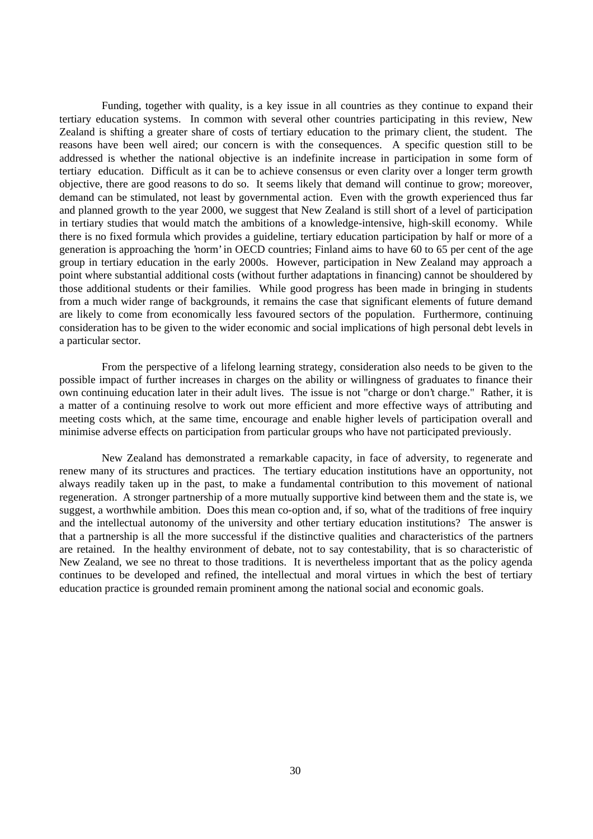Funding, together with quality, is a key issue in all countries as they continue to expand their tertiary education systems. In common with several other countries participating in this review, New Zealand is shifting a greater share of costs of tertiary education to the primary client, the student. The reasons have been well aired; our concern is with the consequences. A specific question still to be addressed is whether the national objective is an indefinite increase in participation in some form of tertiary education. Difficult as it can be to achieve consensus or even clarity over a longer term growth objective, there are good reasons to do so. It seems likely that demand will continue to grow; moreover, demand can be stimulated, not least by governmental action. Even with the growth experienced thus far and planned growth to the year 2000, we suggest that New Zealand is still short of a level of participation in tertiary studies that would match the ambitions of a knowledge-intensive, high-skill economy. While there is no fixed formula which provides a guideline, tertiary education participation by half or more of a generation is approaching the 'norm' in OECD countries; Finland aims to have 60 to 65 per cent of the age group in tertiary education in the early 2000s. However, participation in New Zealand may approach a point where substantial additional costs (without further adaptations in financing) cannot be shouldered by those additional students or their families. While good progress has been made in bringing in students from a much wider range of backgrounds, it remains the case that significant elements of future demand are likely to come from economically less favoured sectors of the population. Furthermore, continuing consideration has to be given to the wider economic and social implications of high personal debt levels in a particular sector.

From the perspective of a lifelong learning strategy, consideration also needs to be given to the possible impact of further increases in charges on the ability or willingness of graduates to finance their own continuing education later in their adult lives. The issue is not "charge or don't charge." Rather, it is a matter of a continuing resolve to work out more efficient and more effective ways of attributing and meeting costs which, at the same time, encourage and enable higher levels of participation overall and minimise adverse effects on participation from particular groups who have not participated previously.

New Zealand has demonstrated a remarkable capacity, in face of adversity, to regenerate and renew many of its structures and practices. The tertiary education institutions have an opportunity, not always readily taken up in the past, to make a fundamental contribution to this movement of national regeneration. A stronger partnership of a more mutually supportive kind between them and the state is, we suggest, a worthwhile ambition. Does this mean co-option and, if so, what of the traditions of free inquiry and the intellectual autonomy of the university and other tertiary education institutions? The answer is that a partnership is all the more successful if the distinctive qualities and characteristics of the partners are retained. In the healthy environment of debate, not to say contestability, that is so characteristic of New Zealand, we see no threat to those traditions. It is nevertheless important that as the policy agenda continues to be developed and refined, the intellectual and moral virtues in which the best of tertiary education practice is grounded remain prominent among the national social and economic goals.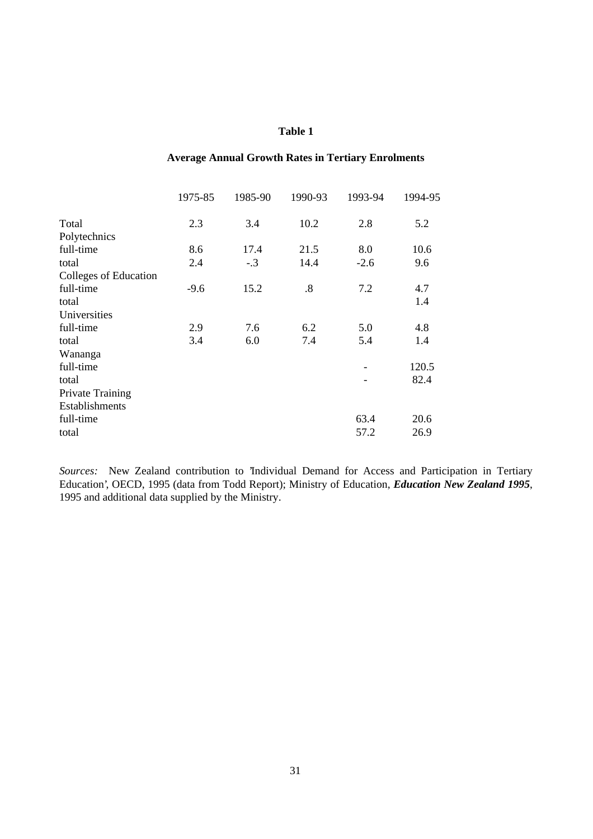## **Average Annual Growth Rates in Tertiary Enrolments**

| 1975-85 | 1985-90 | 1990-93 | 1993-94 | 1994-95 |
|---------|---------|---------|---------|---------|
| 2.3     | 3.4     | 10.2    | 2.8     | 5.2     |
|         |         |         |         |         |
| 8.6     | 17.4    | 21.5    | 8.0     | 10.6    |
| 2.4     | $-.3$   | 14.4    | $-2.6$  | 9.6     |
|         |         |         |         |         |
| $-9.6$  | 15.2    | .8      | 7.2     | 4.7     |
|         |         |         |         | 1.4     |
|         |         |         |         |         |
| 2.9     | 7.6     | 6.2     | 5.0     | 4.8     |
| 3.4     | 6.0     | 7.4     | 5.4     | 1.4     |
|         |         |         |         |         |
|         |         |         |         | 120.5   |
|         |         |         |         | 82.4    |
|         |         |         |         |         |
|         |         |         |         |         |
|         |         |         | 63.4    | 20.6    |
|         |         |         | 57.2    | 26.9    |
|         |         |         |         |         |

*Sources:* New Zealand contribution to 'Individual Demand for Access and Participation in Tertiary Education', OECD, 1995 (data from Todd Report); Ministry of Education, *Education New Zealand 1995*, 1995 and additional data supplied by the Ministry.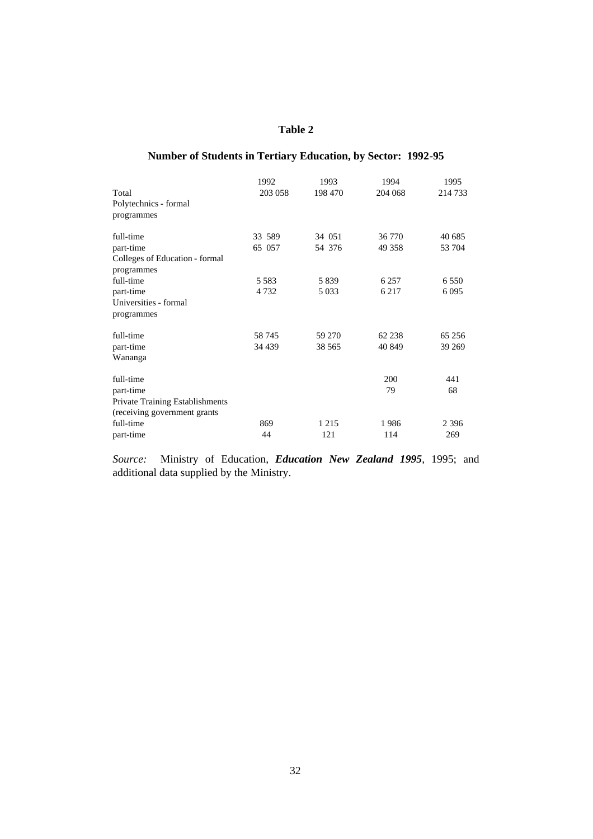# **Number of Students in Tertiary Education, by Sector: 1992-95**

|                                        | 1992    | 1993    | 1994    | 1995    |
|----------------------------------------|---------|---------|---------|---------|
| Total                                  | 203 058 | 198 470 | 204 068 | 214 733 |
| Polytechnics - formal                  |         |         |         |         |
| programmes                             |         |         |         |         |
| full-time                              | 33 589  | 34 051  | 36 770  | 40 685  |
| part-time                              | 65 057  | 54 376  | 49 358  | 53 704  |
| Colleges of Education - formal         |         |         |         |         |
| programmes                             |         |         |         |         |
| full-time                              | 5 5 8 3 | 5 8 3 9 | 6 2 5 7 | 6 5 5 0 |
| part-time                              | 4 7 3 2 | 5 0 3 3 | 6 2 1 7 | 6 0 9 5 |
| Universities - formal                  |         |         |         |         |
| programmes                             |         |         |         |         |
| full-time                              | 58745   | 59 270  | 62 238  | 65 25 6 |
| part-time                              | 34 439  | 38 5 65 | 40 849  | 39 269  |
| Wananga                                |         |         |         |         |
| full-time                              |         |         | 200     | 441     |
| part-time                              |         |         | 79      | 68      |
| <b>Private Training Establishments</b> |         |         |         |         |
| (receiving government grants)          |         |         |         |         |
| full-time                              | 869     | 1 2 1 5 | 1986    | 2 3 9 6 |
| part-time                              | 44      | 121     | 114     | 269     |

*Source:* Ministry of Education, *Education New Zealand 1995*, 1995; and additional data supplied by the Ministry.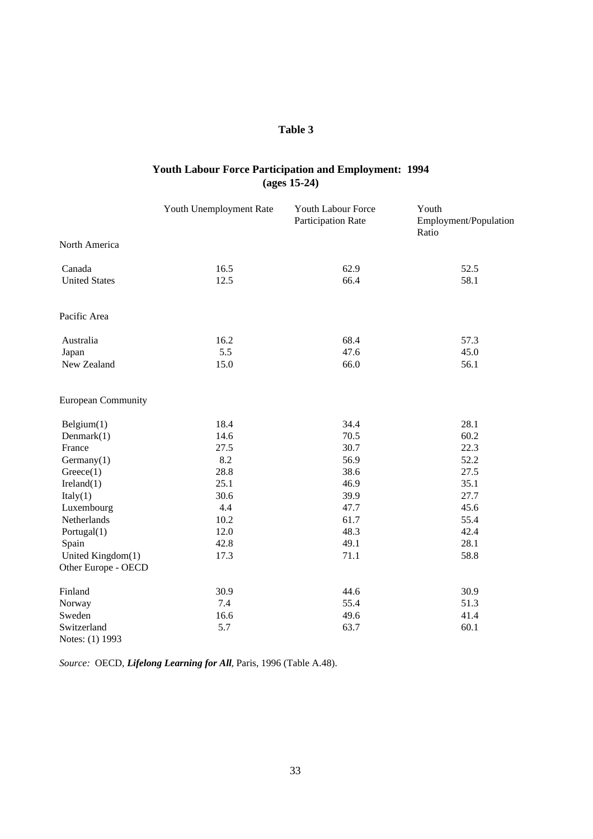# **Youth Labour Force Participation and Employment: 1994 (ages 15-24)**

| Youth Unemployment Rate   |      | Youth Labour Force<br>Participation Rate | Youth<br>Employment/Population<br>Ratio |  |
|---------------------------|------|------------------------------------------|-----------------------------------------|--|
| North America             |      |                                          |                                         |  |
| Canada                    | 16.5 | 62.9                                     | 52.5                                    |  |
| <b>United States</b>      | 12.5 | 66.4                                     | 58.1                                    |  |
| Pacific Area              |      |                                          |                                         |  |
| Australia                 | 16.2 | 68.4                                     | 57.3                                    |  |
| Japan                     | 5.5  | 47.6                                     | 45.0                                    |  |
| New Zealand               | 15.0 | 66.0                                     | 56.1                                    |  |
| <b>European Community</b> |      |                                          |                                         |  |
| Belgium(1)                | 18.4 | 34.4                                     | 28.1                                    |  |
| Denmark $(1)$             | 14.6 | 70.5                                     | 60.2                                    |  |
| France                    | 27.5 | 30.7                                     | 22.3                                    |  |
| Germany(1)                | 8.2  | 56.9                                     | 52.2                                    |  |
| Greeze(1)                 | 28.8 | 38.6                                     | 27.5                                    |  |
| Ireland(1)                | 25.1 | 46.9                                     | 35.1                                    |  |
| Italy(1)                  | 30.6 | 39.9                                     | 27.7                                    |  |
| Luxembourg                | 4.4  | 47.7                                     | 45.6                                    |  |
| Netherlands               | 10.2 | 61.7                                     | 55.4                                    |  |
| Portugal(1)               | 12.0 | 48.3                                     | 42.4                                    |  |
| Spain                     | 42.8 | 49.1                                     | 28.1                                    |  |
| United Kingdom(1)         | 17.3 | 71.1                                     | 58.8                                    |  |
| Other Europe - OECD       |      |                                          |                                         |  |
| Finland                   | 30.9 | 44.6                                     | 30.9                                    |  |
| Norway                    | 7.4  | 55.4                                     | 51.3                                    |  |
| Sweden                    | 16.6 | 49.6                                     | 41.4                                    |  |
| Switzerland               | 5.7  | 63.7                                     | 60.1                                    |  |
| Notes: (1) 1993           |      |                                          |                                         |  |

*Source:* OECD, *Lifelong Learning for All*, Paris, 1996 (Table A.48).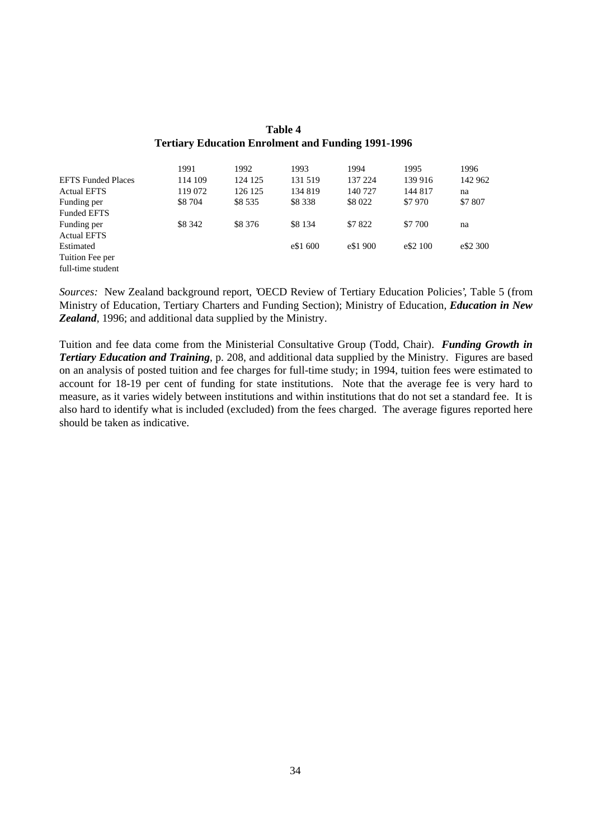|                           | 1991    | 1992     | 1993      | 1994     | 1995     | 1996     |
|---------------------------|---------|----------|-----------|----------|----------|----------|
| <b>EFTS Funded Places</b> | 114 109 | 124 125  | 131 519   | 137 224  | 139 916  | 142 962  |
| <b>Actual EFTS</b>        | 119 072 | 126 125  | 134 819   | 140 727  | 144 817  | na       |
| Funding per               | \$8 704 | \$8 5 35 | \$8 3 3 8 | \$8 022  | \$7970   | \$7 807  |
| <b>Funded EFTS</b>        |         |          |           |          |          |          |
| Funding per               | \$8 342 | \$8 376  | \$8 1 34  | \$7822   | \$7 700  | na       |
| <b>Actual EFTS</b>        |         |          |           |          |          |          |
| Estimated                 |         |          | e\$1 600  | e\$1 900 | e\$2 100 | e\$2 300 |
| Tuition Fee per           |         |          |           |          |          |          |
| full-time student         |         |          |           |          |          |          |

# **Table 4 Tertiary Education Enrolment and Funding 1991-1996**

*Sources:* New Zealand background report, 'OECD Review of Tertiary Education Policies', Table 5 (from Ministry of Education, Tertiary Charters and Funding Section); Ministry of Education, *Education in New Zealand*, 1996; and additional data supplied by the Ministry.

Tuition and fee data come from the Ministerial Consultative Group (Todd, Chair). *Funding Growth in Tertiary Education and Training*, p. 208, and additional data supplied by the Ministry. Figures are based on an analysis of posted tuition and fee charges for full-time study; in 1994, tuition fees were estimated to account for 18-19 per cent of funding for state institutions. Note that the average fee is very hard to measure, as it varies widely between institutions and within institutions that do not set a standard fee. It is also hard to identify what is included (excluded) from the fees charged. The average figures reported here should be taken as indicative.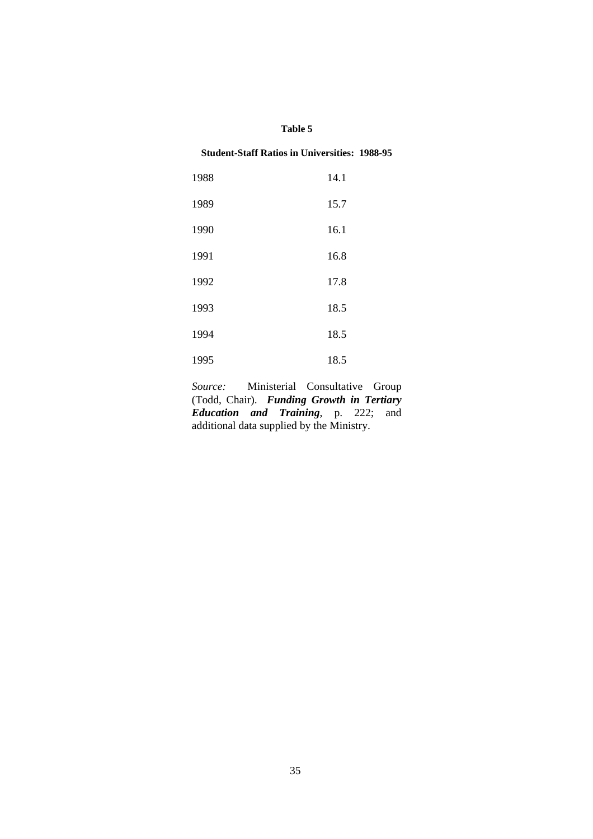## **Student-Staff Ratios in Universities: 1988-95**

| 1988 | 14.1 |
|------|------|
| 1989 | 15.7 |
| 1990 | 16.1 |
| 1991 | 16.8 |
| 1992 | 17.8 |
| 1993 | 18.5 |
| 1994 | 18.5 |
| 1995 | 18.5 |

*Source:* Ministerial Consultative Group (Todd, Chair). *Funding Growth in Tertiary Education and Training*, p. 222; and additional data supplied by the Ministry.